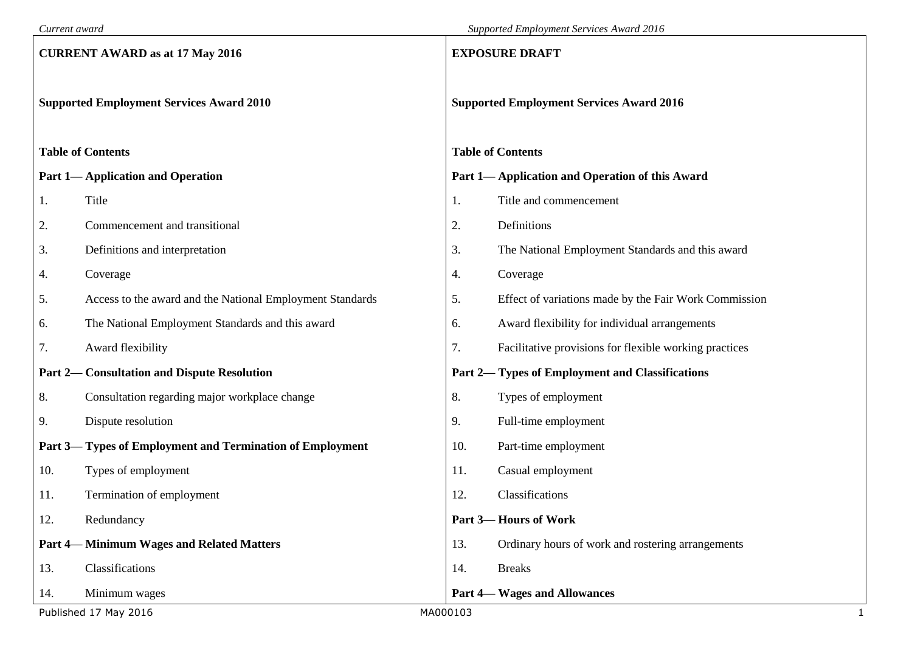| Current award                                   |                                                           | Supported Employment Services Award 2016        |                                                        |   |  |  |  |
|-------------------------------------------------|-----------------------------------------------------------|-------------------------------------------------|--------------------------------------------------------|---|--|--|--|
| <b>CURRENT AWARD as at 17 May 2016</b>          |                                                           |                                                 | <b>EXPOSURE DRAFT</b>                                  |   |  |  |  |
| <b>Supported Employment Services Award 2010</b> |                                                           | <b>Supported Employment Services Award 2016</b> |                                                        |   |  |  |  |
|                                                 | <b>Table of Contents</b>                                  |                                                 | <b>Table of Contents</b>                               |   |  |  |  |
|                                                 | <b>Part 1-Application and Operation</b>                   |                                                 | Part 1— Application and Operation of this Award        |   |  |  |  |
| 1.                                              | Title                                                     | 1.                                              | Title and commencement                                 |   |  |  |  |
| 2.                                              | Commencement and transitional                             | 2.                                              | Definitions                                            |   |  |  |  |
| 3.                                              | Definitions and interpretation                            | 3.                                              | The National Employment Standards and this award       |   |  |  |  |
| 4.                                              | Coverage                                                  | 4.                                              | Coverage                                               |   |  |  |  |
| 5.                                              | Access to the award and the National Employment Standards | 5.                                              | Effect of variations made by the Fair Work Commission  |   |  |  |  |
| 6.                                              | The National Employment Standards and this award          | 6.                                              | Award flexibility for individual arrangements          |   |  |  |  |
| 7.                                              | Award flexibility                                         | 7.                                              | Facilitative provisions for flexible working practices |   |  |  |  |
|                                                 | <b>Part 2— Consultation and Dispute Resolution</b>        |                                                 | <b>Part 2— Types of Employment and Classifications</b> |   |  |  |  |
| 8.                                              | Consultation regarding major workplace change             | 8.                                              | Types of employment                                    |   |  |  |  |
| 9.                                              | Dispute resolution                                        | 9.                                              | Full-time employment                                   |   |  |  |  |
|                                                 | Part 3— Types of Employment and Termination of Employment | 10.                                             | Part-time employment                                   |   |  |  |  |
| 10.                                             | Types of employment                                       | 11.                                             | Casual employment                                      |   |  |  |  |
| 11.                                             | Termination of employment                                 | 12.                                             | Classifications                                        |   |  |  |  |
| 12.                                             | Redundancy                                                |                                                 | <b>Part 3-Hours of Work</b>                            |   |  |  |  |
|                                                 | <b>Part 4— Minimum Wages and Related Matters</b>          | 13.                                             | Ordinary hours of work and rostering arrangements      |   |  |  |  |
| 13.                                             | Classifications                                           | 14.                                             | <b>Breaks</b>                                          |   |  |  |  |
| 14.                                             | Minimum wages                                             |                                                 | <b>Part 4— Wages and Allowances</b>                    |   |  |  |  |
|                                                 | Published 17 May 2016                                     | MA000103                                        |                                                        | 1 |  |  |  |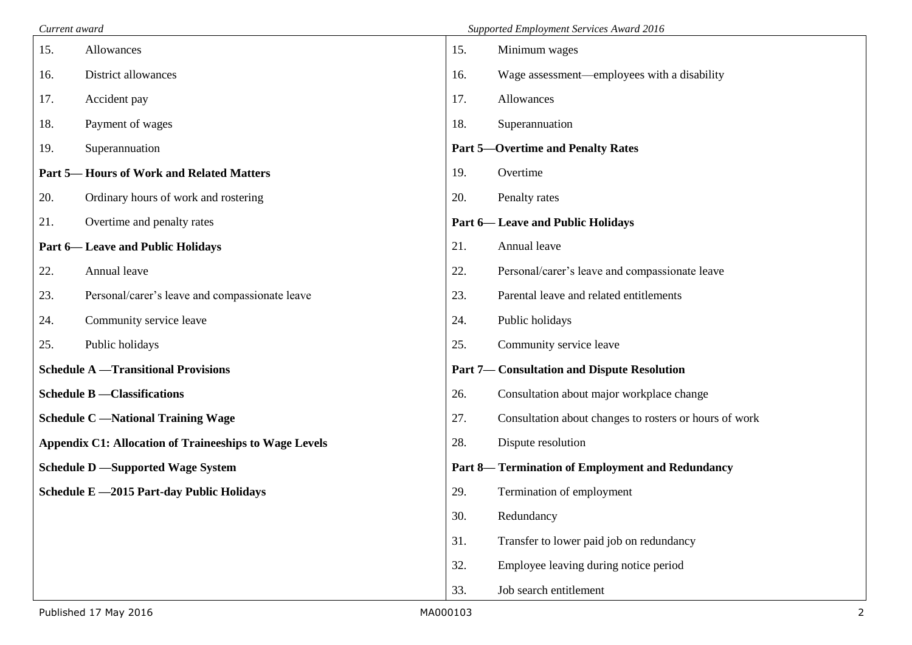| Current award |                                                               |                                                    | Supported Employment Services Award 2016                |  |  |  |
|---------------|---------------------------------------------------------------|----------------------------------------------------|---------------------------------------------------------|--|--|--|
| 15.           | Allowances                                                    | 15.                                                | Minimum wages                                           |  |  |  |
| 16.           | District allowances                                           | 16.                                                | Wage assessment—employees with a disability             |  |  |  |
| 17.           | Accident pay                                                  | 17.                                                | Allowances                                              |  |  |  |
| 18.           | Payment of wages                                              | 18.                                                | Superannuation                                          |  |  |  |
| 19.           | Superannuation                                                |                                                    | <b>Part 5-Overtime and Penalty Rates</b>                |  |  |  |
|               | <b>Part 5— Hours of Work and Related Matters</b>              | 19.                                                | Overtime                                                |  |  |  |
| 20.           | Ordinary hours of work and rostering                          | 20.                                                | Penalty rates                                           |  |  |  |
| 21.           | Overtime and penalty rates                                    |                                                    | <b>Part 6— Leave and Public Holidays</b>                |  |  |  |
|               | <b>Part 6— Leave and Public Holidays</b>                      | 21.                                                | Annual leave                                            |  |  |  |
| 22.           | Annual leave                                                  | 22.                                                | Personal/carer's leave and compassionate leave          |  |  |  |
| 23.           | Personal/carer's leave and compassionate leave                | 23.                                                | Parental leave and related entitlements                 |  |  |  |
| 24.           | Community service leave                                       | 24.                                                | Public holidays                                         |  |  |  |
| 25.           | Public holidays                                               | 25.                                                | Community service leave                                 |  |  |  |
|               | <b>Schedule A</b> - Transitional Provisions                   | <b>Part 7— Consultation and Dispute Resolution</b> |                                                         |  |  |  |
|               | <b>Schedule B</b> - Classifications                           | 26.                                                | Consultation about major workplace change               |  |  |  |
|               | <b>Schedule C</b> - National Training Wage                    | 27.                                                | Consultation about changes to rosters or hours of work  |  |  |  |
|               | <b>Appendix C1: Allocation of Traineeships to Wage Levels</b> | 28.                                                | Dispute resolution                                      |  |  |  |
|               | <b>Schedule D</b> -Supported Wage System                      |                                                    | <b>Part 8-</b> Termination of Employment and Redundancy |  |  |  |
|               | Schedule E -2015 Part-day Public Holidays                     | 29.                                                | Termination of employment                               |  |  |  |
|               |                                                               | 30.                                                | Redundancy                                              |  |  |  |
|               |                                                               | 31.                                                | Transfer to lower paid job on redundancy                |  |  |  |
|               |                                                               | 32.                                                | Employee leaving during notice period                   |  |  |  |
|               |                                                               | 33.                                                | Job search entitlement                                  |  |  |  |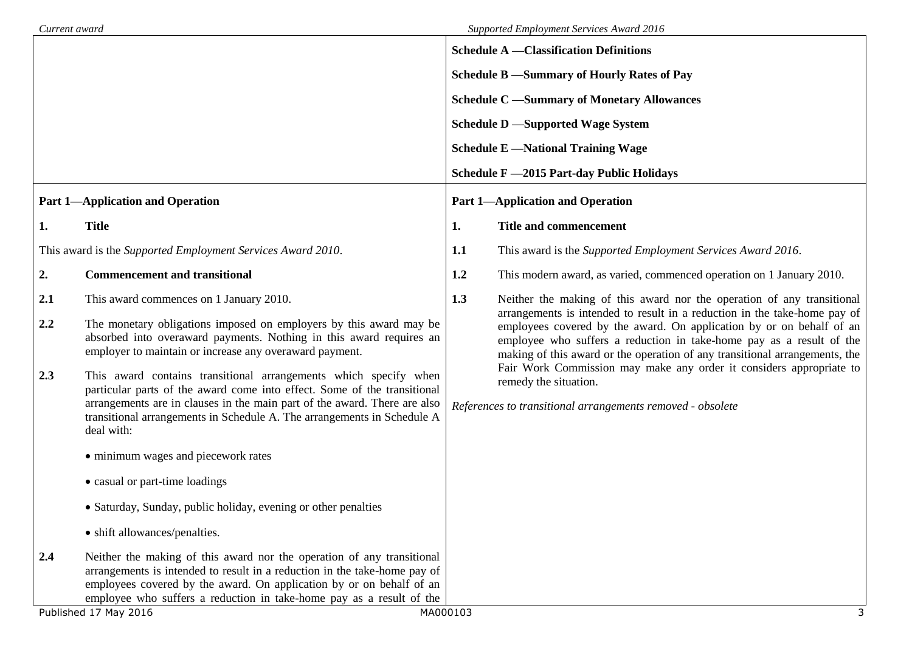| Current award |                                                                                                                                                                                                                                                                                                                    |                                          | Supported Employment Services Award 2016                                                                                                                                                                                                                                                                 |  |  |  |  |
|---------------|--------------------------------------------------------------------------------------------------------------------------------------------------------------------------------------------------------------------------------------------------------------------------------------------------------------------|------------------------------------------|----------------------------------------------------------------------------------------------------------------------------------------------------------------------------------------------------------------------------------------------------------------------------------------------------------|--|--|--|--|
|               |                                                                                                                                                                                                                                                                                                                    |                                          | <b>Schedule A</b> -Classification Definitions                                                                                                                                                                                                                                                            |  |  |  |  |
|               |                                                                                                                                                                                                                                                                                                                    |                                          | Schedule B -Summary of Hourly Rates of Pay                                                                                                                                                                                                                                                               |  |  |  |  |
|               |                                                                                                                                                                                                                                                                                                                    |                                          | <b>Schedule C</b> -Summary of Monetary Allowances                                                                                                                                                                                                                                                        |  |  |  |  |
|               |                                                                                                                                                                                                                                                                                                                    | <b>Schedule D</b> -Supported Wage System |                                                                                                                                                                                                                                                                                                          |  |  |  |  |
|               |                                                                                                                                                                                                                                                                                                                    |                                          | <b>Schedule E</b> - National Training Wage                                                                                                                                                                                                                                                               |  |  |  |  |
|               |                                                                                                                                                                                                                                                                                                                    |                                          | Schedule F -2015 Part-day Public Holidays                                                                                                                                                                                                                                                                |  |  |  |  |
|               | <b>Part 1-Application and Operation</b>                                                                                                                                                                                                                                                                            |                                          | <b>Part 1-Application and Operation</b>                                                                                                                                                                                                                                                                  |  |  |  |  |
| 1.            | <b>Title</b>                                                                                                                                                                                                                                                                                                       | 1.                                       | <b>Title and commencement</b>                                                                                                                                                                                                                                                                            |  |  |  |  |
|               | This award is the Supported Employment Services Award 2010.                                                                                                                                                                                                                                                        | 1.1                                      | This award is the Supported Employment Services Award 2016.                                                                                                                                                                                                                                              |  |  |  |  |
| 2.            | <b>Commencement and transitional</b>                                                                                                                                                                                                                                                                               | 1.2                                      | This modern award, as varied, commenced operation on 1 January 2010.                                                                                                                                                                                                                                     |  |  |  |  |
| 2.1           | This award commences on 1 January 2010.                                                                                                                                                                                                                                                                            | 1.3                                      | Neither the making of this award nor the operation of any transitional                                                                                                                                                                                                                                   |  |  |  |  |
| 2.2           | The monetary obligations imposed on employers by this award may be<br>absorbed into overaward payments. Nothing in this award requires an<br>employer to maintain or increase any overaward payment.                                                                                                               |                                          | arrangements is intended to result in a reduction in the take-home pay of<br>employees covered by the award. On application by or on behalf of an<br>employee who suffers a reduction in take-home pay as a result of the<br>making of this award or the operation of any transitional arrangements, the |  |  |  |  |
| 2.3           | This award contains transitional arrangements which specify when<br>particular parts of the award come into effect. Some of the transitional<br>arrangements are in clauses in the main part of the award. There are also<br>transitional arrangements in Schedule A. The arrangements in Schedule A<br>deal with: |                                          | Fair Work Commission may make any order it considers appropriate to<br>remedy the situation.<br>References to transitional arrangements removed - obsolete                                                                                                                                               |  |  |  |  |
|               | • minimum wages and piecework rates                                                                                                                                                                                                                                                                                |                                          |                                                                                                                                                                                                                                                                                                          |  |  |  |  |
|               | • casual or part-time loadings                                                                                                                                                                                                                                                                                     |                                          |                                                                                                                                                                                                                                                                                                          |  |  |  |  |
|               | • Saturday, Sunday, public holiday, evening or other penalties                                                                                                                                                                                                                                                     |                                          |                                                                                                                                                                                                                                                                                                          |  |  |  |  |
|               | • shift allowances/penalties.                                                                                                                                                                                                                                                                                      |                                          |                                                                                                                                                                                                                                                                                                          |  |  |  |  |
| 2.4           | Neither the making of this award nor the operation of any transitional<br>arrangements is intended to result in a reduction in the take-home pay of<br>employees covered by the award. On application by or on behalf of an<br>employee who suffers a reduction in take-home pay as a result of the                |                                          |                                                                                                                                                                                                                                                                                                          |  |  |  |  |
|               | Published 17 May 2016                                                                                                                                                                                                                                                                                              | MA000103                                 | 3                                                                                                                                                                                                                                                                                                        |  |  |  |  |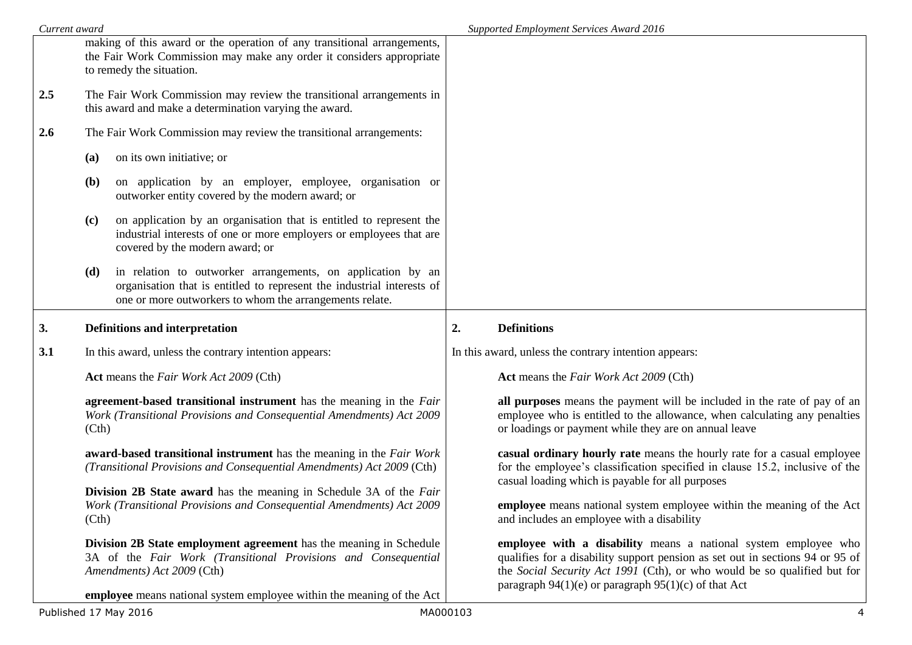| Current award |                                                                                                                                                                                                         | Supported Employment Services Award 2016                                                                                                                                                                                                                                                 |  |  |  |
|---------------|---------------------------------------------------------------------------------------------------------------------------------------------------------------------------------------------------------|------------------------------------------------------------------------------------------------------------------------------------------------------------------------------------------------------------------------------------------------------------------------------------------|--|--|--|
|               | making of this award or the operation of any transitional arrangements,<br>the Fair Work Commission may make any order it considers appropriate<br>to remedy the situation.                             |                                                                                                                                                                                                                                                                                          |  |  |  |
| 2.5           | The Fair Work Commission may review the transitional arrangements in<br>this award and make a determination varying the award.                                                                          |                                                                                                                                                                                                                                                                                          |  |  |  |
| 2.6           | The Fair Work Commission may review the transitional arrangements:                                                                                                                                      |                                                                                                                                                                                                                                                                                          |  |  |  |
|               | on its own initiative; or<br>(a)                                                                                                                                                                        |                                                                                                                                                                                                                                                                                          |  |  |  |
|               | on application by an employer, employee, organisation or<br><b>(b)</b><br>outworker entity covered by the modern award; or                                                                              |                                                                                                                                                                                                                                                                                          |  |  |  |
|               | on application by an organisation that is entitled to represent the<br>(c)<br>industrial interests of one or more employers or employees that are<br>covered by the modern award; or                    |                                                                                                                                                                                                                                                                                          |  |  |  |
|               | in relation to outworker arrangements, on application by an<br>(d)<br>organisation that is entitled to represent the industrial interests of<br>one or more outworkers to whom the arrangements relate. |                                                                                                                                                                                                                                                                                          |  |  |  |
| 3.            | <b>Definitions and interpretation</b>                                                                                                                                                                   | <b>Definitions</b><br>2.                                                                                                                                                                                                                                                                 |  |  |  |
| 3.1           | In this award, unless the contrary intention appears:                                                                                                                                                   | In this award, unless the contrary intention appears:                                                                                                                                                                                                                                    |  |  |  |
|               | Act means the Fair Work Act 2009 (Cth)                                                                                                                                                                  | Act means the Fair Work Act 2009 (Cth)                                                                                                                                                                                                                                                   |  |  |  |
|               |                                                                                                                                                                                                         |                                                                                                                                                                                                                                                                                          |  |  |  |
|               | agreement-based transitional instrument has the meaning in the Fair<br>Work (Transitional Provisions and Consequential Amendments) Act 2009<br>(Ch)                                                     | all purposes means the payment will be included in the rate of pay of an<br>employee who is entitled to the allowance, when calculating any penalties<br>or loadings or payment while they are on annual leave                                                                           |  |  |  |
|               | award-based transitional instrument has the meaning in the Fair Work<br>(Transitional Provisions and Consequential Amendments) Act 2009 (Cth)                                                           | casual ordinary hourly rate means the hourly rate for a casual employee<br>for the employee's classification specified in clause 15.2, inclusive of the<br>casual loading which is payable for all purposes                                                                              |  |  |  |
|               | Division 2B State award has the meaning in Schedule 3A of the Fair<br>Work (Transitional Provisions and Consequential Amendments) Act 2009<br>(Ch)                                                      | <b>employee</b> means national system employee within the meaning of the Act<br>and includes an employee with a disability                                                                                                                                                               |  |  |  |
|               | Division 2B State employment agreement has the meaning in Schedule<br>3A of the Fair Work (Transitional Provisions and Consequential<br>Amendments) Act 2009 (Cth)                                      | employee with a disability means a national system employee who<br>qualifies for a disability support pension as set out in sections 94 or 95 of<br>the Social Security Act 1991 (Cth), or who would be so qualified but for<br>paragraph $94(1)(e)$ or paragraph $95(1)(c)$ of that Act |  |  |  |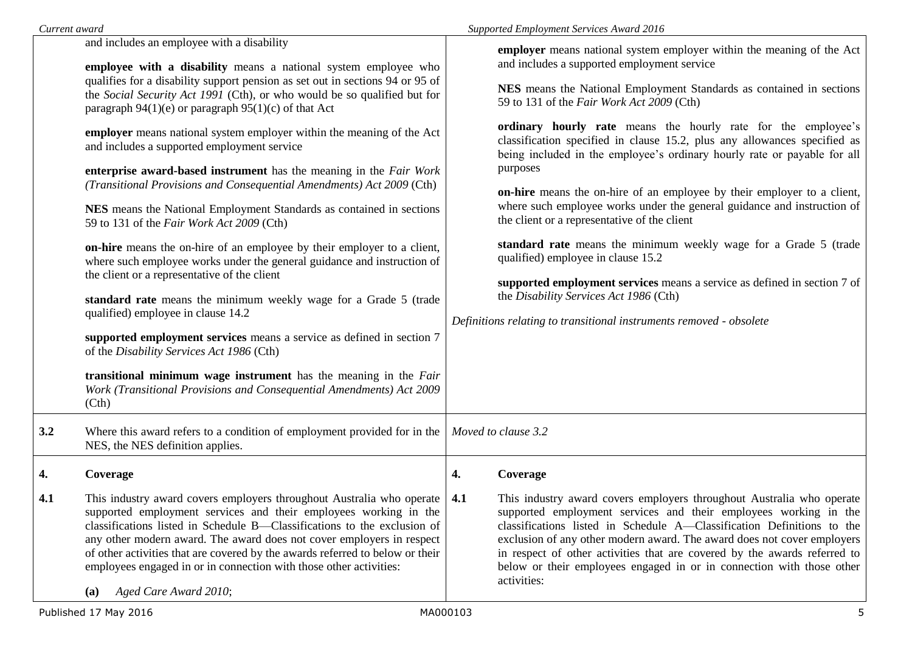| Current award |                                                                                                                                                                                                                                                                                                                                                                                                                                                                                                                                                                                                                                                                                                                                                                                                                                                                                                                                                                                                                                                                                                                                                                                                                                                                                                                               | Supported Employment Services Award 2016 |                                                                                                                                                                                                                                                                                                                                                                                                                                                                                                                                                                                                                                                                                                                                                                                                                                                                                                                                                                                              |  |  |
|---------------|-------------------------------------------------------------------------------------------------------------------------------------------------------------------------------------------------------------------------------------------------------------------------------------------------------------------------------------------------------------------------------------------------------------------------------------------------------------------------------------------------------------------------------------------------------------------------------------------------------------------------------------------------------------------------------------------------------------------------------------------------------------------------------------------------------------------------------------------------------------------------------------------------------------------------------------------------------------------------------------------------------------------------------------------------------------------------------------------------------------------------------------------------------------------------------------------------------------------------------------------------------------------------------------------------------------------------------|------------------------------------------|----------------------------------------------------------------------------------------------------------------------------------------------------------------------------------------------------------------------------------------------------------------------------------------------------------------------------------------------------------------------------------------------------------------------------------------------------------------------------------------------------------------------------------------------------------------------------------------------------------------------------------------------------------------------------------------------------------------------------------------------------------------------------------------------------------------------------------------------------------------------------------------------------------------------------------------------------------------------------------------------|--|--|
|               | and includes an employee with a disability<br>employee with a disability means a national system employee who<br>qualifies for a disability support pension as set out in sections 94 or 95 of<br>the Social Security Act 1991 (Cth), or who would be so qualified but for<br>paragraph $94(1)(e)$ or paragraph $95(1)(c)$ of that Act<br>employer means national system employer within the meaning of the Act<br>and includes a supported employment service<br>enterprise award-based instrument has the meaning in the Fair Work<br>(Transitional Provisions and Consequential Amendments) Act 2009 (Cth)<br>NES means the National Employment Standards as contained in sections<br>59 to 131 of the Fair Work Act 2009 (Cth)<br>on-hire means the on-hire of an employee by their employer to a client,<br>where such employee works under the general guidance and instruction of<br>the client or a representative of the client<br>standard rate means the minimum weekly wage for a Grade 5 (trade<br>qualified) employee in clause 14.2<br>supported employment services means a service as defined in section 7<br>of the Disability Services Act 1986 (Cth)<br>transitional minimum wage instrument has the meaning in the Fair<br>Work (Transitional Provisions and Consequential Amendments) Act 2009<br>(Cth) |                                          | employer means national system employer within the meaning of the Act<br>and includes a supported employment service<br>NES means the National Employment Standards as contained in sections<br>59 to 131 of the Fair Work Act 2009 (Cth)<br>ordinary hourly rate means the hourly rate for the employee's<br>classification specified in clause 15.2, plus any allowances specified as<br>being included in the employee's ordinary hourly rate or payable for all<br>purposes<br>on-hire means the on-hire of an employee by their employer to a client,<br>where such employee works under the general guidance and instruction of<br>the client or a representative of the client<br>standard rate means the minimum weekly wage for a Grade 5 (trade<br>qualified) employee in clause 15.2<br>supported employment services means a service as defined in section 7 of<br>the Disability Services Act 1986 (Cth)<br>Definitions relating to transitional instruments removed - obsolete |  |  |
| 3.2           | Where this award refers to a condition of employment provided for in the<br>NES, the NES definition applies.                                                                                                                                                                                                                                                                                                                                                                                                                                                                                                                                                                                                                                                                                                                                                                                                                                                                                                                                                                                                                                                                                                                                                                                                                  |                                          | Moved to clause 3.2                                                                                                                                                                                                                                                                                                                                                                                                                                                                                                                                                                                                                                                                                                                                                                                                                                                                                                                                                                          |  |  |
| 4.            | Coverage                                                                                                                                                                                                                                                                                                                                                                                                                                                                                                                                                                                                                                                                                                                                                                                                                                                                                                                                                                                                                                                                                                                                                                                                                                                                                                                      | 4.                                       | Coverage                                                                                                                                                                                                                                                                                                                                                                                                                                                                                                                                                                                                                                                                                                                                                                                                                                                                                                                                                                                     |  |  |
| 4.1           | This industry award covers employers throughout Australia who operate<br>supported employment services and their employees working in the<br>classifications listed in Schedule B—Classifications to the exclusion of<br>any other modern award. The award does not cover employers in respect<br>of other activities that are covered by the awards referred to below or their<br>employees engaged in or in connection with those other activities:<br>Aged Care Award 2010;<br>(a)                                                                                                                                                                                                                                                                                                                                                                                                                                                                                                                                                                                                                                                                                                                                                                                                                                         | 4.1                                      | This industry award covers employers throughout Australia who operate<br>supported employment services and their employees working in the<br>classifications listed in Schedule A—Classification Definitions to the<br>exclusion of any other modern award. The award does not cover employers<br>in respect of other activities that are covered by the awards referred to<br>below or their employees engaged in or in connection with those other<br>activities:                                                                                                                                                                                                                                                                                                                                                                                                                                                                                                                          |  |  |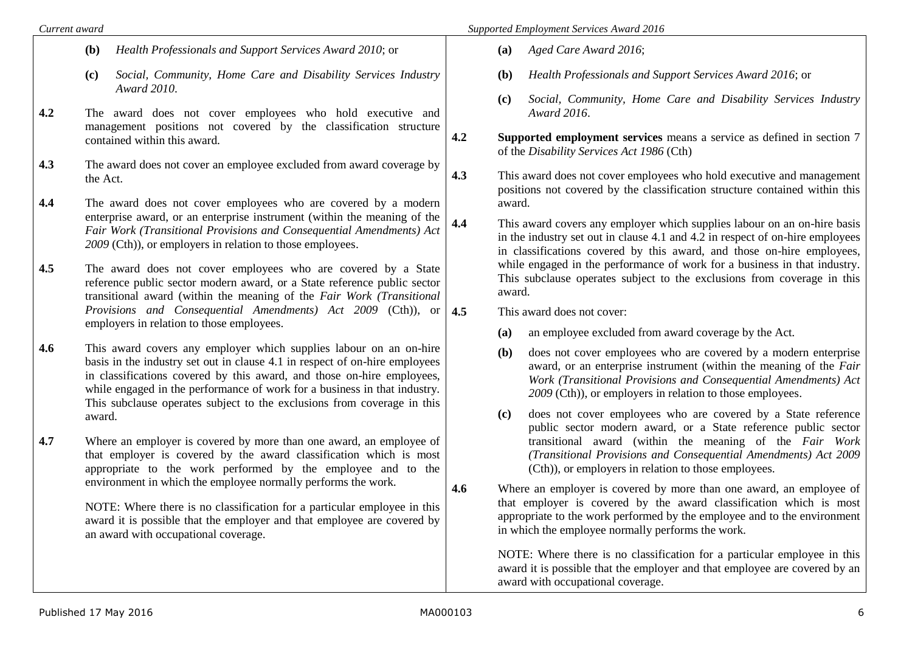- **(b)** *Health Professionals and Support Services Award 2010*; or
- **(c)** *Social, Community, Home Care and Disability Services Industry Award 2010*.
- **4.2** The award does not cover employees who hold executive and management positions not covered by the classification structure contained within this award.
- **4.3** The award does not cover an employee excluded from award coverage by the Act.
- **4.4** The award does not cover employees who are covered by a modern enterprise award, or an enterprise instrument (within the meaning of the *Fair Work (Transitional Provisions and Consequential Amendments) Act 2009* (Cth)), or employers in relation to those employees.
- **4.5** The award does not cover employees who are covered by a State reference public sector modern award, or a State reference public sector transitional award (within the meaning of the *Fair Work (Transitional Provisions and Consequential Amendments) Act 2009* (Cth)), or employers in relation to those employees.
- **4.6** This award covers any employer which supplies labour on an on-hire basis in the industry set out in clause 4.1 in respect of on-hire employees in classifications covered by this award, and those on-hire employees, while engaged in the performance of work for a business in that industry. This subclause operates subject to the exclusions from coverage in this award.
- **4.7** Where an employer is covered by more than one award, an employee of that employer is covered by the award classification which is most appropriate to the work performed by the employee and to the environment in which the employee normally performs the work.

NOTE: Where there is no classification for a particular employee in this award it is possible that the employer and that employee are covered by an award with occupational coverage.

- **(a)** *Aged Care Award 2016*;
- **(b)** *Health Professionals and Support Services Award 2016*; or
- **(c)** *Social, Community, Home Care and Disability Services Industry Award 2016*.
- **4.2 Supported employment services** means a service as defined in section 7 of the *Disability Services Act 1986* (Cth)
- **4.3** This award does not cover employees who hold executive and management positions not covered by the classification structure contained within this award.
- **4.4** This award covers any employer which supplies labour on an on-hire basis in the industry set out in clause 4.1 and 4.2 in respect of on-hire employees in classifications covered by this award, and those on-hire employees, while engaged in the performance of work for a business in that industry. This subclause operates subject to the exclusions from coverage in this award.

**4.5** This award does not cover:

- **(a)** an employee excluded from award coverage by the Act.
- **(b)** does not cover employees who are covered by a modern enterprise award, or an enterprise instrument (within the meaning of the *Fair Work (Transitional Provisions and Consequential Amendments) Act 2009* (Cth)), or employers in relation to those employees.
- **(c)** does not cover employees who are covered by a State reference public sector modern award, or a State reference public sector transitional award (within the meaning of the *Fair Work (Transitional Provisions and Consequential Amendments) Act 2009*  (Cth)), or employers in relation to those employees.
- **4.6** Where an employer is covered by more than one award, an employee of that employer is covered by the award classification which is most appropriate to the work performed by the employee and to the environment in which the employee normally performs the work.

NOTE: Where there is no classification for a particular employee in this award it is possible that the employer and that employee are covered by an award with occupational coverage.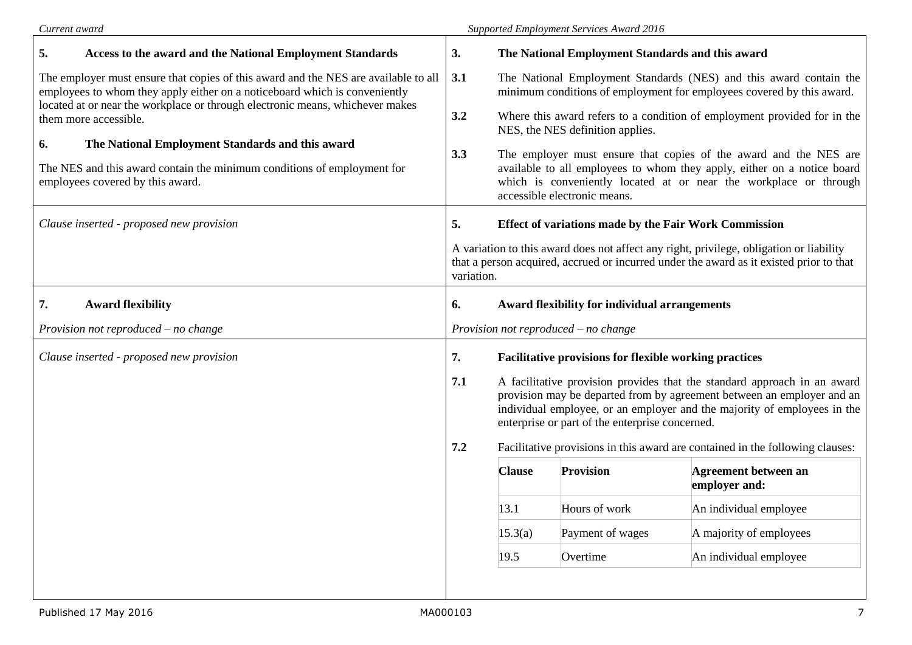| Current award                                                                                                                                                            | <b>Supported Employment Services Award 2016</b> |                                                                                                                                                                                                                                                                                          |                                                              |                                                                                                                                                                                                                   |  |
|--------------------------------------------------------------------------------------------------------------------------------------------------------------------------|-------------------------------------------------|------------------------------------------------------------------------------------------------------------------------------------------------------------------------------------------------------------------------------------------------------------------------------------------|--------------------------------------------------------------|-------------------------------------------------------------------------------------------------------------------------------------------------------------------------------------------------------------------|--|
| 5.<br><b>Access to the award and the National Employment Standards</b>                                                                                                   | 3.                                              |                                                                                                                                                                                                                                                                                          | The National Employment Standards and this award             |                                                                                                                                                                                                                   |  |
| The employer must ensure that copies of this award and the NES are available to all<br>3.1<br>employees to whom they apply either on a noticeboard which is conveniently |                                                 | The National Employment Standards (NES) and this award contain the<br>minimum conditions of employment for employees covered by this award.                                                                                                                                              |                                                              |                                                                                                                                                                                                                   |  |
| located at or near the workplace or through electronic means, whichever makes<br>them more accessible.                                                                   | 3.2                                             |                                                                                                                                                                                                                                                                                          | NES, the NES definition applies.                             | Where this award refers to a condition of employment provided for in the                                                                                                                                          |  |
| 6.<br>The National Employment Standards and this award<br>The NES and this award contain the minimum conditions of employment for<br>employees covered by this award.    | 3.3                                             |                                                                                                                                                                                                                                                                                          | accessible electronic means.                                 | The employer must ensure that copies of the award and the NES are<br>available to all employees to whom they apply, either on a notice board<br>which is conveniently located at or near the workplace or through |  |
| Clause inserted - proposed new provision                                                                                                                                 |                                                 |                                                                                                                                                                                                                                                                                          | <b>Effect of variations made by the Fair Work Commission</b> |                                                                                                                                                                                                                   |  |
|                                                                                                                                                                          |                                                 | A variation to this award does not affect any right, privilege, obligation or liability<br>that a person acquired, accrued or incurred under the award as it existed prior to that<br>variation.                                                                                         |                                                              |                                                                                                                                                                                                                   |  |
| 7.<br><b>Award flexibility</b>                                                                                                                                           | 6.                                              |                                                                                                                                                                                                                                                                                          | Award flexibility for individual arrangements                |                                                                                                                                                                                                                   |  |
| Provision not reproduced $-$ no change                                                                                                                                   | Provision not reproduced $-$ no change          |                                                                                                                                                                                                                                                                                          |                                                              |                                                                                                                                                                                                                   |  |
| Clause inserted - proposed new provision                                                                                                                                 | 7.                                              | <b>Facilitative provisions for flexible working practices</b>                                                                                                                                                                                                                            |                                                              |                                                                                                                                                                                                                   |  |
|                                                                                                                                                                          |                                                 | 7.1<br>A facilitative provision provides that the standard approach in an award<br>provision may be departed from by agreement between an employer and an<br>individual employee, or an employer and the majority of employees in the<br>enterprise or part of the enterprise concerned. |                                                              |                                                                                                                                                                                                                   |  |
|                                                                                                                                                                          | 7.2                                             | Facilitative provisions in this award are contained in the following clauses:                                                                                                                                                                                                            |                                                              |                                                                                                                                                                                                                   |  |
|                                                                                                                                                                          |                                                 | <b>Clause</b>                                                                                                                                                                                                                                                                            | Provision                                                    | Agreement between an<br>employer and:                                                                                                                                                                             |  |
|                                                                                                                                                                          |                                                 | 13.1                                                                                                                                                                                                                                                                                     | Hours of work                                                | An individual employee                                                                                                                                                                                            |  |
|                                                                                                                                                                          |                                                 | 15.3(a)                                                                                                                                                                                                                                                                                  | Payment of wages                                             | A majority of employees                                                                                                                                                                                           |  |
|                                                                                                                                                                          |                                                 | 19.5                                                                                                                                                                                                                                                                                     | Overtime                                                     | An individual employee                                                                                                                                                                                            |  |
|                                                                                                                                                                          |                                                 |                                                                                                                                                                                                                                                                                          |                                                              |                                                                                                                                                                                                                   |  |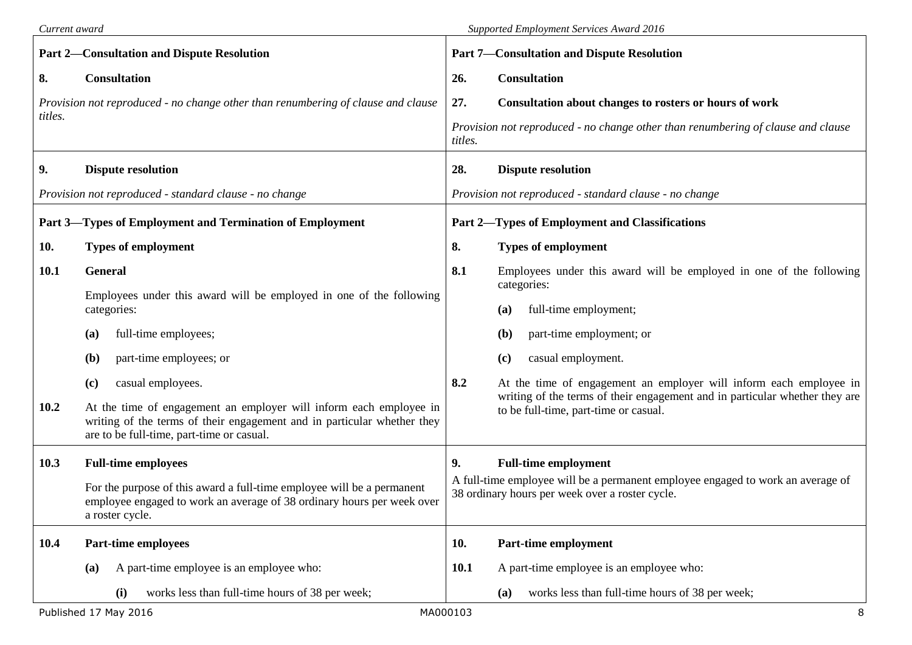| Current award |                                                                                                                                                                                            | Supported Employment Services Award 2016 |                                                                                                                                    |  |  |
|---------------|--------------------------------------------------------------------------------------------------------------------------------------------------------------------------------------------|------------------------------------------|------------------------------------------------------------------------------------------------------------------------------------|--|--|
|               | <b>Part 2-Consultation and Dispute Resolution</b>                                                                                                                                          |                                          | <b>Part 7-Consultation and Dispute Resolution</b>                                                                                  |  |  |
| 8.            | <b>Consultation</b>                                                                                                                                                                        | 26.                                      | <b>Consultation</b>                                                                                                                |  |  |
| titles.       | Provision not reproduced - no change other than renumbering of clause and clause                                                                                                           | 27.                                      | Consultation about changes to rosters or hours of work                                                                             |  |  |
|               |                                                                                                                                                                                            | titles.                                  | Provision not reproduced - no change other than renumbering of clause and clause                                                   |  |  |
| 9.            | <b>Dispute resolution</b>                                                                                                                                                                  | 28.                                      | <b>Dispute resolution</b>                                                                                                          |  |  |
|               | Provision not reproduced - standard clause - no change                                                                                                                                     |                                          | Provision not reproduced - standard clause - no change                                                                             |  |  |
|               | Part 3-Types of Employment and Termination of Employment                                                                                                                                   |                                          | <b>Part 2—Types of Employment and Classifications</b>                                                                              |  |  |
| 10.           | <b>Types of employment</b>                                                                                                                                                                 | 8.                                       | <b>Types of employment</b>                                                                                                         |  |  |
| <b>10.1</b>   | <b>General</b>                                                                                                                                                                             | 8.1                                      | Employees under this award will be employed in one of the following<br>categories:                                                 |  |  |
|               | Employees under this award will be employed in one of the following<br>categories:                                                                                                         |                                          | full-time employment;<br>(a)                                                                                                       |  |  |
|               | full-time employees;<br>(a)                                                                                                                                                                |                                          | part-time employment; or<br>(b)                                                                                                    |  |  |
|               | part-time employees; or<br>(b)                                                                                                                                                             |                                          | casual employment.<br>(c)                                                                                                          |  |  |
|               | casual employees.<br>(c)                                                                                                                                                                   | 8.2                                      | At the time of engagement an employer will inform each employee in                                                                 |  |  |
| 10.2          | At the time of engagement an employer will inform each employee in<br>writing of the terms of their engagement and in particular whether they<br>are to be full-time, part-time or casual. |                                          | writing of the terms of their engagement and in particular whether they are<br>to be full-time, part-time or casual.               |  |  |
| 10.3          | <b>Full-time employees</b>                                                                                                                                                                 | 9.                                       | <b>Full-time employment</b>                                                                                                        |  |  |
|               | For the purpose of this award a full-time employee will be a permanent<br>employee engaged to work an average of 38 ordinary hours per week over<br>a roster cycle.                        |                                          | A full-time employee will be a permanent employee engaged to work an average of<br>38 ordinary hours per week over a roster cycle. |  |  |
| 10.4          | <b>Part-time employees</b>                                                                                                                                                                 | 10.                                      | Part-time employment                                                                                                               |  |  |
|               | A part-time employee is an employee who:<br>(a)                                                                                                                                            | 10.1                                     | A part-time employee is an employee who:                                                                                           |  |  |
|               | works less than full-time hours of 38 per week;<br>(i)                                                                                                                                     |                                          | works less than full-time hours of 38 per week;<br>(a)                                                                             |  |  |
|               | Published 17 May 2016                                                                                                                                                                      | MA000103                                 | 8                                                                                                                                  |  |  |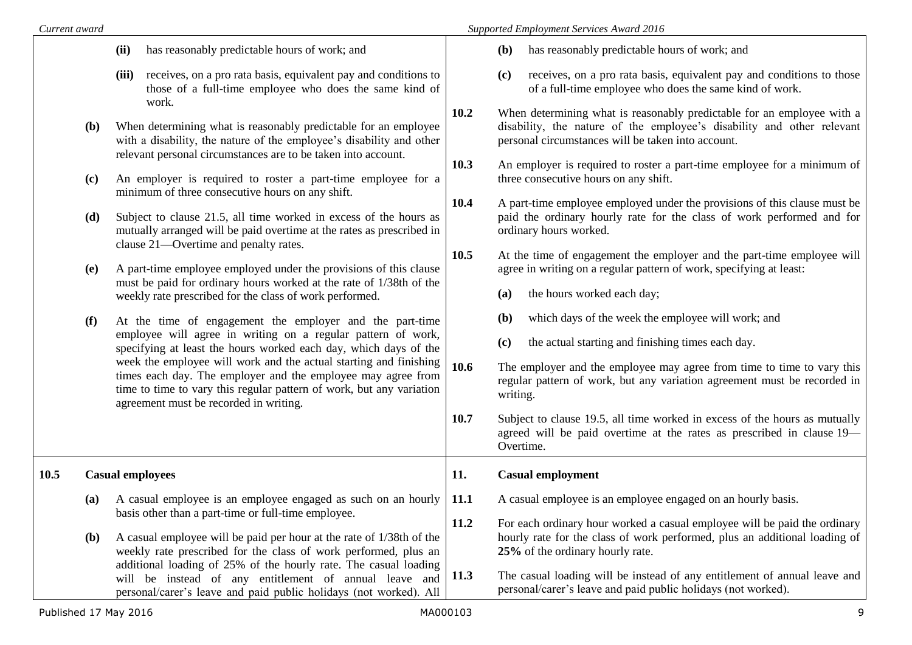| Current award              |                                                                                                                                                                                                                                                                                                                                                                                                                                                                                                                              | Supported Employment Services Award 2016                                                                                                                                                                                                                                                                                                                                                                                                                                                                                                                                                                             |  |  |  |
|----------------------------|------------------------------------------------------------------------------------------------------------------------------------------------------------------------------------------------------------------------------------------------------------------------------------------------------------------------------------------------------------------------------------------------------------------------------------------------------------------------------------------------------------------------------|----------------------------------------------------------------------------------------------------------------------------------------------------------------------------------------------------------------------------------------------------------------------------------------------------------------------------------------------------------------------------------------------------------------------------------------------------------------------------------------------------------------------------------------------------------------------------------------------------------------------|--|--|--|
|                            | has reasonably predictable hours of work; and<br>(ii)                                                                                                                                                                                                                                                                                                                                                                                                                                                                        | has reasonably predictable hours of work; and<br>( <b>b</b> )                                                                                                                                                                                                                                                                                                                                                                                                                                                                                                                                                        |  |  |  |
|                            | receives, on a pro rata basis, equivalent pay and conditions to<br>(iii)<br>those of a full-time employee who does the same kind of                                                                                                                                                                                                                                                                                                                                                                                          | receives, on a pro rata basis, equivalent pay and conditions to those<br>(c)<br>of a full-time employee who does the same kind of work.                                                                                                                                                                                                                                                                                                                                                                                                                                                                              |  |  |  |
| ( <b>b</b> )<br>(c)<br>(d) | work.<br>When determining what is reasonably predictable for an employee<br>with a disability, the nature of the employee's disability and other<br>relevant personal circumstances are to be taken into account.<br>An employer is required to roster a part-time employee for a<br>minimum of three consecutive hours on any shift.<br>Subject to clause 21.5, all time worked in excess of the hours as<br>mutually arranged will be paid overtime at the rates as prescribed in<br>clause 21—Overtime and penalty rates. | 10.2<br>When determining what is reasonably predictable for an employee with a<br>disability, the nature of the employee's disability and other relevant<br>personal circumstances will be taken into account.<br>10.3<br>An employer is required to roster a part-time employee for a minimum of<br>three consecutive hours on any shift.<br>10.4<br>A part-time employee employed under the provisions of this clause must be<br>paid the ordinary hourly rate for the class of work performed and for<br>ordinary hours worked.<br>10.5<br>At the time of engagement the employer and the part-time employee will |  |  |  |
| (e)                        | A part-time employee employed under the provisions of this clause<br>must be paid for ordinary hours worked at the rate of 1/38th of the<br>weekly rate prescribed for the class of work performed.                                                                                                                                                                                                                                                                                                                          | agree in writing on a regular pattern of work, specifying at least:<br>the hours worked each day;<br>(a)                                                                                                                                                                                                                                                                                                                                                                                                                                                                                                             |  |  |  |
| (f)                        | At the time of engagement the employer and the part-time<br>employee will agree in writing on a regular pattern of work,<br>specifying at least the hours worked each day, which days of the<br>week the employee will work and the actual starting and finishing<br>times each day. The employer and the employee may agree from<br>time to time to vary this regular pattern of work, but any variation<br>agreement must be recorded in writing.                                                                          | which days of the week the employee will work; and<br>( <b>b</b> )<br>the actual starting and finishing times each day.<br>(c)<br>10.6<br>The employer and the employee may agree from time to time to vary this<br>regular pattern of work, but any variation agreement must be recorded in<br>writing.<br>10.7<br>Subject to clause 19.5, all time worked in excess of the hours as mutually<br>agreed will be paid overtime at the rates as prescribed in clause 19—<br>Overtime.                                                                                                                                 |  |  |  |
| 10.5                       | <b>Casual employees</b>                                                                                                                                                                                                                                                                                                                                                                                                                                                                                                      | <b>Casual employment</b><br>11.                                                                                                                                                                                                                                                                                                                                                                                                                                                                                                                                                                                      |  |  |  |
| (a)<br><b>(b)</b>          | A casual employee is an employee engaged as such on an hourly  <br>basis other than a part-time or full-time employee.<br>A casual employee will be paid per hour at the rate of 1/38th of the                                                                                                                                                                                                                                                                                                                               | 11.1<br>A casual employee is an employee engaged on an hourly basis.<br>11.2<br>For each ordinary hour worked a casual employee will be paid the ordinary<br>hourly rate for the class of work performed, plus an additional loading of                                                                                                                                                                                                                                                                                                                                                                              |  |  |  |
|                            | weekly rate prescribed for the class of work performed, plus an<br>additional loading of 25% of the hourly rate. The casual loading<br>will be instead of any entitlement of annual leave and<br>personal/carer's leave and paid public holidays (not worked). All                                                                                                                                                                                                                                                           | 25% of the ordinary hourly rate.<br>11.3<br>The casual loading will be instead of any entitlement of annual leave and<br>personal/carer's leave and paid public holidays (not worked).                                                                                                                                                                                                                                                                                                                                                                                                                               |  |  |  |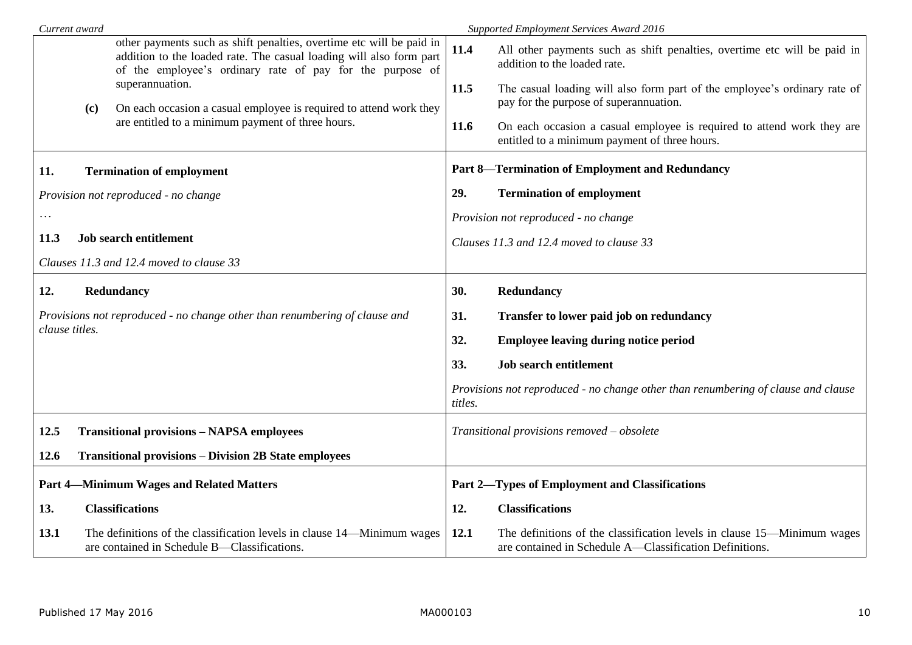| Current award                                   |     |                                                                                                                                                                                                          | Supported Employment Services Award 2016       |                                                                                                                                    |  |  |
|-------------------------------------------------|-----|----------------------------------------------------------------------------------------------------------------------------------------------------------------------------------------------------------|------------------------------------------------|------------------------------------------------------------------------------------------------------------------------------------|--|--|
|                                                 |     | other payments such as shift penalties, overtime etc will be paid in<br>addition to the loaded rate. The casual loading will also form part<br>of the employee's ordinary rate of pay for the purpose of | 11.4                                           | All other payments such as shift penalties, overtime etc will be paid in<br>addition to the loaded rate.                           |  |  |
|                                                 | (c) | superannuation.<br>On each occasion a casual employee is required to attend work they                                                                                                                    | 11.5                                           | The casual loading will also form part of the employee's ordinary rate of<br>pay for the purpose of superannuation.                |  |  |
|                                                 |     | are entitled to a minimum payment of three hours.                                                                                                                                                        | 11.6                                           | On each occasion a casual employee is required to attend work they are<br>entitled to a minimum payment of three hours.            |  |  |
| 11.                                             |     | <b>Termination of employment</b>                                                                                                                                                                         |                                                | <b>Part 8-Termination of Employment and Redundancy</b>                                                                             |  |  |
| Provision not reproduced - no change            |     | 29.                                                                                                                                                                                                      | <b>Termination of employment</b>               |                                                                                                                                    |  |  |
| $\cdots$                                        |     |                                                                                                                                                                                                          |                                                | Provision not reproduced - no change                                                                                               |  |  |
| 11.3                                            |     | <b>Job search entitlement</b>                                                                                                                                                                            |                                                | Clauses 11.3 and 12.4 moved to clause 33                                                                                           |  |  |
| Clauses 11.3 and 12.4 moved to clause 33        |     |                                                                                                                                                                                                          |                                                |                                                                                                                                    |  |  |
| 12.                                             |     | Redundancy                                                                                                                                                                                               | 30.                                            | Redundancy                                                                                                                         |  |  |
|                                                 |     | Provisions not reproduced - no change other than renumbering of clause and                                                                                                                               | 31.                                            | Transfer to lower paid job on redundancy                                                                                           |  |  |
| clause titles.                                  |     |                                                                                                                                                                                                          | 32.                                            | <b>Employee leaving during notice period</b>                                                                                       |  |  |
|                                                 |     |                                                                                                                                                                                                          | 33.                                            | <b>Job search entitlement</b>                                                                                                      |  |  |
|                                                 |     |                                                                                                                                                                                                          | titles.                                        | Provisions not reproduced - no change other than renumbering of clause and clause                                                  |  |  |
| 12.5                                            |     | <b>Transitional provisions - NAPSA employees</b>                                                                                                                                                         |                                                | Transitional provisions removed - obsolete                                                                                         |  |  |
| <b>12.6</b>                                     |     | <b>Transitional provisions – Division 2B State employees</b>                                                                                                                                             |                                                |                                                                                                                                    |  |  |
| <b>Part 4-Minimum Wages and Related Matters</b> |     |                                                                                                                                                                                                          | Part 2-Types of Employment and Classifications |                                                                                                                                    |  |  |
| 13.                                             |     | <b>Classifications</b>                                                                                                                                                                                   | 12.                                            | <b>Classifications</b>                                                                                                             |  |  |
| 13.1                                            |     | The definitions of the classification levels in clause 14—Minimum wages<br>are contained in Schedule B-Classifications.                                                                                  | 12.1                                           | The definitions of the classification levels in clause 15—Minimum wages<br>are contained in Schedule A—Classification Definitions. |  |  |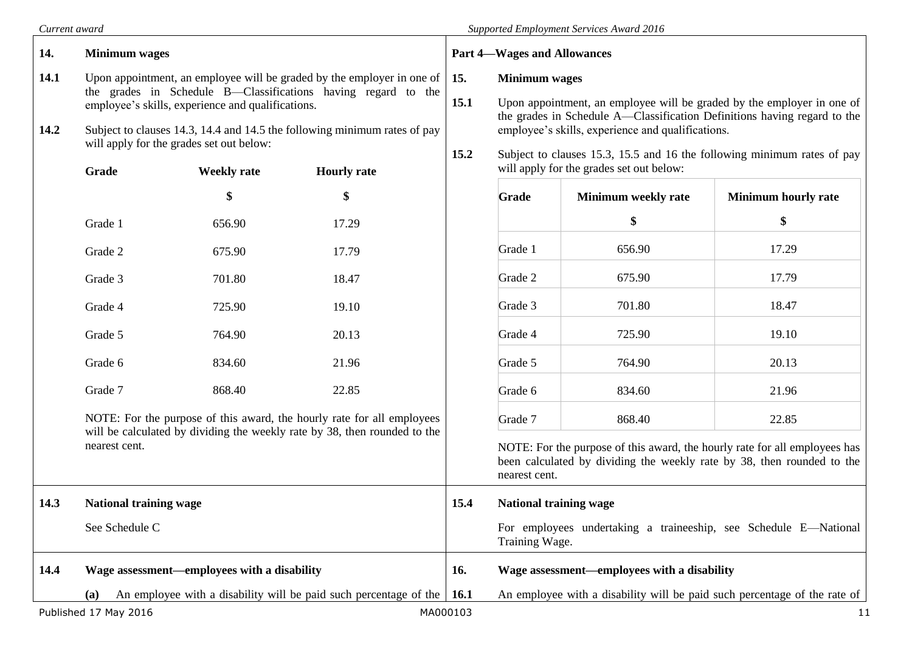|              | Current award                                                                                                                                                                                                                                                                                                                                |                                                                                                                                                                                                                                                                                                            |                                                                        |               | Supported Employment Services Award 2016 |                                                                                                                                                      |                                                                           |        |       |
|--------------|----------------------------------------------------------------------------------------------------------------------------------------------------------------------------------------------------------------------------------------------------------------------------------------------------------------------------------------------|------------------------------------------------------------------------------------------------------------------------------------------------------------------------------------------------------------------------------------------------------------------------------------------------------------|------------------------------------------------------------------------|---------------|------------------------------------------|------------------------------------------------------------------------------------------------------------------------------------------------------|---------------------------------------------------------------------------|--------|-------|
| 14.          | <b>Minimum</b> wages                                                                                                                                                                                                                                                                                                                         |                                                                                                                                                                                                                                                                                                            |                                                                        |               | <b>Part 4-Wages and Allowances</b>       |                                                                                                                                                      |                                                                           |        |       |
| 14.1<br>14.2 | Upon appointment, an employee will be graded by the employer in one of<br>15.<br>the grades in Schedule B—Classifications having regard to the<br>15.1<br>employee's skills, experience and qualifications.<br>Subject to clauses 14.3, 14.4 and 14.5 the following minimum rates of pay<br>will apply for the grades set out below:<br>15.2 | <b>Minimum</b> wages<br>Upon appointment, an employee will be graded by the employer in one of<br>the grades in Schedule A—Classification Definitions having regard to the<br>employee's skills, experience and qualifications.<br>Subject to clauses 15.3, 15.5 and 16 the following minimum rates of pay |                                                                        |               |                                          |                                                                                                                                                      |                                                                           |        |       |
|              | Grade                                                                                                                                                                                                                                                                                                                                        | <b>Weekly rate</b>                                                                                                                                                                                                                                                                                         | <b>Hourly</b> rate                                                     |               |                                          | will apply for the grades set out below:                                                                                                             |                                                                           |        |       |
|              |                                                                                                                                                                                                                                                                                                                                              | \$                                                                                                                                                                                                                                                                                                         | \$                                                                     |               | Grade                                    | Minimum weekly rate                                                                                                                                  | <b>Minimum hourly rate</b>                                                |        |       |
|              | Grade 1                                                                                                                                                                                                                                                                                                                                      | 656.90                                                                                                                                                                                                                                                                                                     | 17.29                                                                  |               |                                          | \$                                                                                                                                                   | \$                                                                        |        |       |
|              | Grade 2                                                                                                                                                                                                                                                                                                                                      | 675.90                                                                                                                                                                                                                                                                                                     | 17.79                                                                  |               | Grade 1                                  | 656.90                                                                                                                                               | 17.29                                                                     |        |       |
|              | Grade 3                                                                                                                                                                                                                                                                                                                                      | 701.80                                                                                                                                                                                                                                                                                                     | 18.47                                                                  |               | Grade 2                                  | 675.90                                                                                                                                               | 17.79                                                                     |        |       |
|              | Grade 4                                                                                                                                                                                                                                                                                                                                      | 725.90                                                                                                                                                                                                                                                                                                     | 19.10                                                                  |               | Grade 3                                  | 701.80                                                                                                                                               | 18.47                                                                     |        |       |
|              | Grade 5                                                                                                                                                                                                                                                                                                                                      | 764.90                                                                                                                                                                                                                                                                                                     | 20.13                                                                  |               |                                          |                                                                                                                                                      | Grade 4                                                                   | 725.90 | 19.10 |
|              | Grade 6                                                                                                                                                                                                                                                                                                                                      | 834.60                                                                                                                                                                                                                                                                                                     | 21.96                                                                  |               |                                          |                                                                                                                                                      |                                                                           |        |       |
|              | Grade 7                                                                                                                                                                                                                                                                                                                                      | 868.40                                                                                                                                                                                                                                                                                                     | 22.85                                                                  |               | Grade 6                                  | 834.60                                                                                                                                               | 21.96                                                                     |        |       |
|              |                                                                                                                                                                                                                                                                                                                                              |                                                                                                                                                                                                                                                                                                            | NOTE: For the purpose of this award, the hourly rate for all employees |               | Grade 7                                  | 868.40                                                                                                                                               | 22.85                                                                     |        |       |
|              | will be calculated by dividing the weekly rate by 38, then rounded to the<br>nearest cent.                                                                                                                                                                                                                                                   |                                                                                                                                                                                                                                                                                                            |                                                                        | nearest cent. |                                          | NOTE: For the purpose of this award, the hourly rate for all employees has<br>been calculated by dividing the weekly rate by 38, then rounded to the |                                                                           |        |       |
| 14.3         | <b>National training wage</b>                                                                                                                                                                                                                                                                                                                |                                                                                                                                                                                                                                                                                                            |                                                                        | 15.4          |                                          | <b>National training wage</b>                                                                                                                        |                                                                           |        |       |
|              | See Schedule C                                                                                                                                                                                                                                                                                                                               |                                                                                                                                                                                                                                                                                                            |                                                                        |               | Training Wage.                           |                                                                                                                                                      | For employees undertaking a traineeship, see Schedule E-National          |        |       |
| 14.4         |                                                                                                                                                                                                                                                                                                                                              | Wage assessment—employees with a disability                                                                                                                                                                                                                                                                |                                                                        | 16.           |                                          | Wage assessment-employees with a disability                                                                                                          |                                                                           |        |       |
|              | (a)                                                                                                                                                                                                                                                                                                                                          |                                                                                                                                                                                                                                                                                                            | An employee with a disability will be paid such percentage of the      | 16.1          |                                          |                                                                                                                                                      | An employee with a disability will be paid such percentage of the rate of |        |       |
|              | Published 17 May 2016                                                                                                                                                                                                                                                                                                                        |                                                                                                                                                                                                                                                                                                            |                                                                        | MA000103      |                                          |                                                                                                                                                      | 11                                                                        |        |       |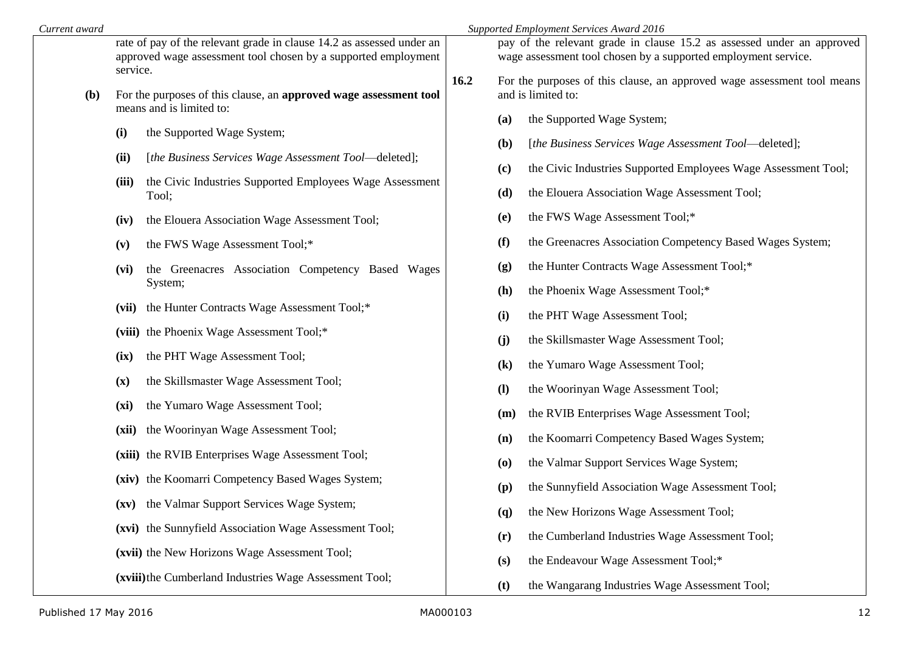| Current award | Supported Employment Services Award 2016                                                                                                            |      |                                                                                                                                          |                                                                                                                 |  |  |
|---------------|-----------------------------------------------------------------------------------------------------------------------------------------------------|------|------------------------------------------------------------------------------------------------------------------------------------------|-----------------------------------------------------------------------------------------------------------------|--|--|
|               | rate of pay of the relevant grade in clause 14.2 as assessed under an<br>approved wage assessment tool chosen by a supported employment<br>service. |      | pay of the relevant grade in clause 15.2 as assessed under an approved<br>wage assessment tool chosen by a supported employment service. |                                                                                                                 |  |  |
| (b)           | For the purposes of this clause, an approved wage assessment tool<br>means and is limited to:                                                       | 16.2 |                                                                                                                                          | For the purposes of this clause, an approved wage assessment tool means<br>and is limited to:                   |  |  |
|               | the Supported Wage System;<br>(i)                                                                                                                   |      | (a)<br>( <b>b</b> )                                                                                                                      | the Supported Wage System;<br>[the Business Services Wage Assessment Tool-deleted];                             |  |  |
|               | [the Business Services Wage Assessment Tool—deleted];<br>(ii)<br>the Civic Industries Supported Employees Wage Assessment<br>(iii)<br>Tool;         |      | (c)<br>(d)                                                                                                                               | the Civic Industries Supported Employees Wage Assessment Tool;<br>the Elouera Association Wage Assessment Tool; |  |  |
|               | the Elouera Association Wage Assessment Tool;<br>(iv)                                                                                               |      | (e)                                                                                                                                      | the FWS Wage Assessment Tool;*                                                                                  |  |  |
|               | the FWS Wage Assessment Tool;*<br>(v)<br>the Greenacres Association Competency Based Wages<br>(vi)                                                  |      | (f)<br>(g)                                                                                                                               | the Greenacres Association Competency Based Wages System;<br>the Hunter Contracts Wage Assessment Tool;*        |  |  |
|               | System;<br>(vii) the Hunter Contracts Wage Assessment Tool;*                                                                                        |      | (h)<br>(i)                                                                                                                               | the Phoenix Wage Assessment Tool;*<br>the PHT Wage Assessment Tool;                                             |  |  |
|               | (viii) the Phoenix Wage Assessment Tool;*<br>the PHT Wage Assessment Tool;<br>(ix)                                                                  |      | (j)                                                                                                                                      | the Skillsmaster Wage Assessment Tool;                                                                          |  |  |
|               | the Skillsmaster Wage Assessment Tool;<br>(x)                                                                                                       |      | $\left( \mathbf{k}\right)$<br>$\mathbf{I}$                                                                                               | the Yumaro Wage Assessment Tool;<br>the Woorinyan Wage Assessment Tool;                                         |  |  |
|               | the Yumaro Wage Assessment Tool;<br>(xi)<br>the Woorinyan Wage Assessment Tool;<br>(xii)                                                            |      | (m)<br>(n)                                                                                                                               | the RVIB Enterprises Wage Assessment Tool;<br>the Koomarri Competency Based Wages System;                       |  |  |
|               | (xiii) the RVIB Enterprises Wage Assessment Tool;<br>(xiv) the Koomarri Competency Based Wages System;                                              |      | $\boldsymbol{\left( \mathbf{0}\right) }$                                                                                                 | the Valmar Support Services Wage System;                                                                        |  |  |
|               | (xv) the Valmar Support Services Wage System;                                                                                                       |      | (p)<br>$\mathbf{q}$                                                                                                                      | the Sunnyfield Association Wage Assessment Tool;<br>the New Horizons Wage Assessment Tool;                      |  |  |
|               | (xvi) the Sunnyfield Association Wage Assessment Tool;<br>(xvii) the New Horizons Wage Assessment Tool;                                             |      | (r)<br>(s)                                                                                                                               | the Cumberland Industries Wage Assessment Tool;<br>the Endeavour Wage Assessment Tool;*                         |  |  |
|               | (xviii) the Cumberland Industries Wage Assessment Tool;                                                                                             |      | (t)                                                                                                                                      | the Wangarang Industries Wage Assessment Tool;                                                                  |  |  |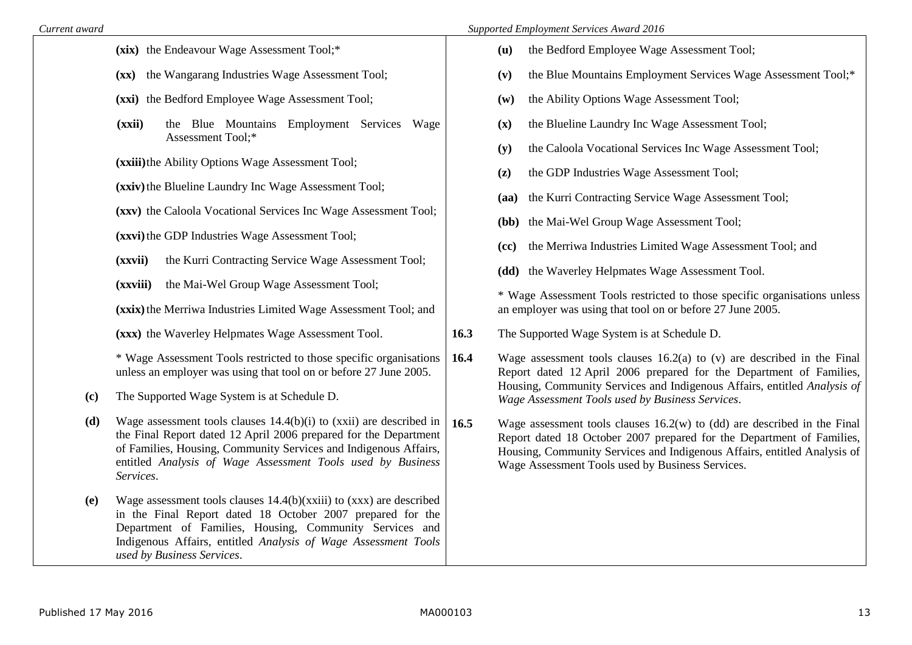**(xix)** the Endeavour Wage Assessment Tool;\* **(xx)** the Wangarang Industries Wage Assessment Tool; **(xxi)** the Bedford Employee Wage Assessment Tool; **(xxii)** the Blue Mountains Employment Services Wage Assessment Tool;\* **(xxiii)**the Ability Options Wage Assessment Tool; **(xxiv)**the Blueline Laundry Inc Wage Assessment Tool; **(xxv)** the Caloola Vocational Services Inc Wage Assessment Tool; **(xxvi)**the GDP Industries Wage Assessment Tool; **(xxvii)** the Kurri Contracting Service Wage Assessment Tool: **(xxviii)** the Mai-Wel Group Wage Assessment Tool; **(xxix)**the Merriwa Industries Limited Wage Assessment Tool; and **(xxx)** the Waverley Helpmates Wage Assessment Tool. \* Wage Assessment Tools restricted to those specific organisations unless an employer was using that tool on or before 27 June 2005. **(c)** The Supported Wage System is at Schedule D. **(d)** Wage assessment tools clauses 14.4(b)(i) to (xxii) are described in the Final Report dated 12 April 2006 prepared for the Department of Families, Housing, Community Services and Indigenous Affairs, entitled *Analysis of Wage Assessment Tools used by Business Services*. **(e)** Wage assessment tools clauses 14.4(b)(xxiii) to (xxx) are described in the Final Report dated 18 October 2007 prepared for the Department of Families, Housing, Community Services and Indigenous Affairs, entitled *Analysis of Wage Assessment Tools used by Business Services*. **(u)** the Bedford Employee Wage Assessment Tool; **(v)** the Blue Mountains Employment Services Wage Assessment Tool;\* **(w)** the Ability Options Wage Assessment Tool; **(x)** the Blueline Laundry Inc Wage Assessment Tool; **(y)** the Caloola Vocational Services Inc Wage Assessment Tool; **(z)** the GDP Industries Wage Assessment Tool; **(aa)** the Kurri Contracting Service Wage Assessment Tool; **(bb)** the Mai-Wel Group Wage Assessment Tool; **(cc)** the Merriwa Industries Limited Wage Assessment Tool; and **(dd)** the Waverley Helpmates Wage Assessment Tool. \* Wage Assessment Tools restricted to those specific organisations unless an employer was using that tool on or before 27 June 2005. **16.3** The Supported Wage System is at Schedule D. **16.4** Wage assessment tools clauses 16.2(a) to (v) are described in the Final Report dated 12 April 2006 prepared for the Department of Families, Housing, Community Services and Indigenous Affairs, entitled *Analysis of Wage Assessment Tools used by Business Services*. **16.5** Wage assessment tools clauses 16.2(w) to (dd) are described in the Final Report dated 18 October 2007 prepared for the Department of Families, Housing, Community Services and Indigenous Affairs, entitled Analysis of Wage Assessment Tools used by Business Services.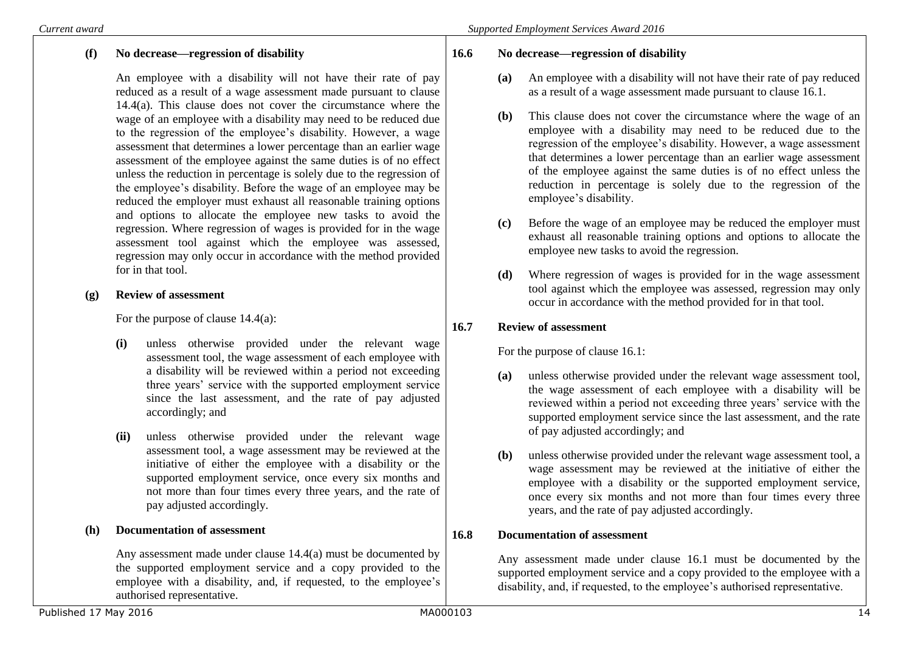# **(f) No decrease—regression of disability**

An employee with a disability will not have their rate of pay reduced as a result of a wage assessment made pursuant to clause 14.4(a). This clause does not cover the circumstance where the wage of an employee with a disability may need to be reduced due to the regression of the employee's disability. However, a wage assessment that determines a lower percentage than an earlier wage assessment of the employee against the same duties is of no effect unless the reduction in percentage is solely due to the regression of the employee's disability. Before the wage of an employee may be reduced the employer must exhaust all reasonable training options and options to allocate the employee new tasks to avoid the regression. Where regression of wages is provided for in the wage assessment tool against which the employee was assessed, regression may only occur in accordance with the method provided for in that tool.

## **(g) Review of assessment**

For the purpose of clause 14.4(a):

- **(i)** unless otherwise provided under the relevant wage assessment tool, the wage assessment of each employee with a disability will be reviewed within a period not exceeding three years' service with the supported employment service since the last assessment, and the rate of pay adjusted accordingly; and
- **(ii)** unless otherwise provided under the relevant wage assessment tool, a wage assessment may be reviewed at the initiative of either the employee with a disability or the supported employment service, once every six months and not more than four times every three years, and the rate of pay adjusted accordingly.

### **(h) Documentation of assessment**

Any assessment made under clause 14.4(a) must be documented by the supported employment service and a copy provided to the employee with a disability, and, if requested, to the employee's authorised representative.

### **16.6 No decrease—regression of disability**

- **(a)** An employee with a disability will not have their rate of pay reduced as a result of a wage assessment made pursuant to clause 16.1.
- **(b)** This clause does not cover the circumstance where the wage of an employee with a disability may need to be reduced due to the regression of the employee's disability. However, a wage assessment that determines a lower percentage than an earlier wage assessment of the employee against the same duties is of no effect unless the reduction in percentage is solely due to the regression of the employee's disability.
- **(c)** Before the wage of an employee may be reduced the employer must exhaust all reasonable training options and options to allocate the employee new tasks to avoid the regression.
- **(d)** Where regression of wages is provided for in the wage assessment tool against which the employee was assessed, regression may only occur in accordance with the method provided for in that tool.

# **16.7 Review of assessment**

For the purpose of clause 16.1:

- **(a)** unless otherwise provided under the relevant wage assessment tool, the wage assessment of each employee with a disability will be reviewed within a period not exceeding three years' service with the supported employment service since the last assessment, and the rate of pay adjusted accordingly; and
- **(b)** unless otherwise provided under the relevant wage assessment tool, a wage assessment may be reviewed at the initiative of either the employee with a disability or the supported employment service, once every six months and not more than four times every three years, and the rate of pay adjusted accordingly.

# **16.8 Documentation of assessment**

Any assessment made under clause 16.1 must be documented by the supported employment service and a copy provided to the employee with a disability, and, if requested, to the employee's authorised representative.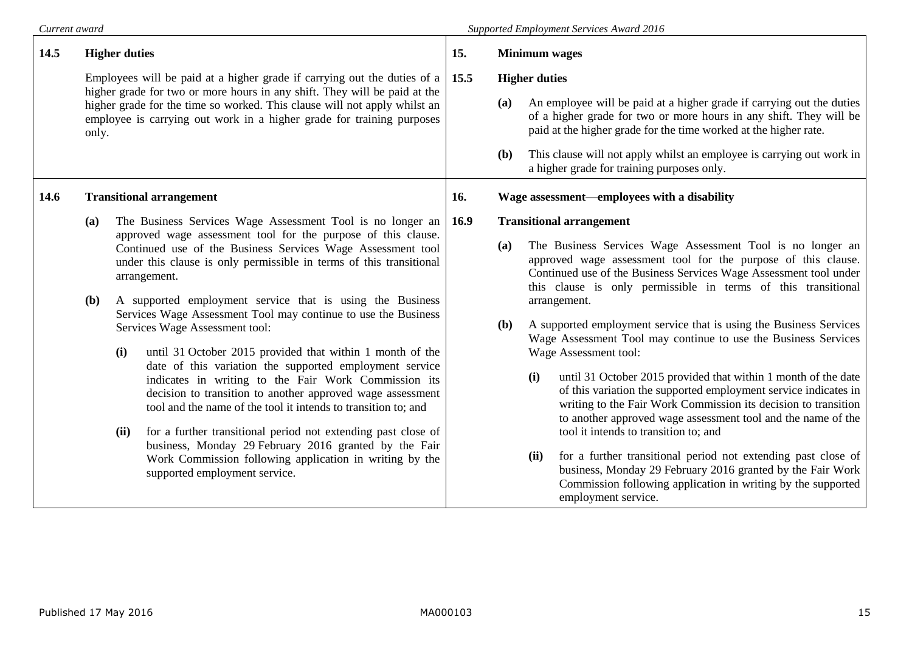# *Current award Supported Employment Services Award 2016*

| 14.5 | <b>Higher duties</b>                                                                                                                                                                                                                                                                                                 |                                                                                                                                                                                                                                                                                                                                                                                                                                                                               | 15.                                                                                                                                                           | <b>Minimum</b> wages |                                 |                                                                                                                                                                                                                                                                   |                                                                                                                                                                                                                                                                     |
|------|----------------------------------------------------------------------------------------------------------------------------------------------------------------------------------------------------------------------------------------------------------------------------------------------------------------------|-------------------------------------------------------------------------------------------------------------------------------------------------------------------------------------------------------------------------------------------------------------------------------------------------------------------------------------------------------------------------------------------------------------------------------------------------------------------------------|---------------------------------------------------------------------------------------------------------------------------------------------------------------|----------------------|---------------------------------|-------------------------------------------------------------------------------------------------------------------------------------------------------------------------------------------------------------------------------------------------------------------|---------------------------------------------------------------------------------------------------------------------------------------------------------------------------------------------------------------------------------------------------------------------|
|      | Employees will be paid at a higher grade if carrying out the duties of a<br>higher grade for two or more hours in any shift. They will be paid at the<br>higher grade for the time so worked. This clause will not apply whilst an<br>employee is carrying out work in a higher grade for training purposes<br>only. |                                                                                                                                                                                                                                                                                                                                                                                                                                                                               | 15.5                                                                                                                                                          | <b>Higher duties</b> |                                 |                                                                                                                                                                                                                                                                   |                                                                                                                                                                                                                                                                     |
|      |                                                                                                                                                                                                                                                                                                                      |                                                                                                                                                                                                                                                                                                                                                                                                                                                                               |                                                                                                                                                               | (a)                  |                                 | An employee will be paid at a higher grade if carrying out the duties<br>of a higher grade for two or more hours in any shift. They will be<br>paid at the higher grade for the time worked at the higher rate.                                                   |                                                                                                                                                                                                                                                                     |
|      |                                                                                                                                                                                                                                                                                                                      |                                                                                                                                                                                                                                                                                                                                                                                                                                                                               |                                                                                                                                                               | ( <b>b</b> )         |                                 | This clause will not apply whilst an employee is carrying out work in<br>a higher grade for training purposes only.                                                                                                                                               |                                                                                                                                                                                                                                                                     |
| 14.6 | <b>Transitional arrangement</b>                                                                                                                                                                                                                                                                                      |                                                                                                                                                                                                                                                                                                                                                                                                                                                                               |                                                                                                                                                               | 16.                  |                                 |                                                                                                                                                                                                                                                                   | Wage assessment—employees with a disability                                                                                                                                                                                                                         |
|      | (a)                                                                                                                                                                                                                                                                                                                  | The Business Services Wage Assessment Tool is no longer an                                                                                                                                                                                                                                                                                                                                                                                                                    |                                                                                                                                                               |                      | <b>Transitional arrangement</b> |                                                                                                                                                                                                                                                                   |                                                                                                                                                                                                                                                                     |
|      |                                                                                                                                                                                                                                                                                                                      | approved wage assessment tool for the purpose of this clause.<br>Continued use of the Business Services Wage Assessment tool<br>under this clause is only permissible in terms of this transitional<br>arrangement.                                                                                                                                                                                                                                                           |                                                                                                                                                               | (a)                  |                                 | The Business Services Wage Assessment Tool is no longer an<br>approved wage assessment tool for the purpose of this clause.<br>Continued use of the Business Services Wage Assessment tool under<br>this clause is only permissible in terms of this transitional |                                                                                                                                                                                                                                                                     |
|      | <b>(b)</b>                                                                                                                                                                                                                                                                                                           |                                                                                                                                                                                                                                                                                                                                                                                                                                                                               | A supported employment service that is using the Business                                                                                                     |                      |                                 |                                                                                                                                                                                                                                                                   | arrangement.                                                                                                                                                                                                                                                        |
|      |                                                                                                                                                                                                                                                                                                                      | (i)                                                                                                                                                                                                                                                                                                                                                                                                                                                                           | Services Wage Assessment Tool may continue to use the Business<br>Services Wage Assessment tool:<br>until 31 October 2015 provided that within 1 month of the |                      | ( <b>b</b> )                    |                                                                                                                                                                                                                                                                   | A supported employment service that is using the Business Services<br>Wage Assessment Tool may continue to use the Business Services<br>Wage Assessment tool:                                                                                                       |
|      |                                                                                                                                                                                                                                                                                                                      | date of this variation the supported employment service<br>indicates in writing to the Fair Work Commission its<br>decision to transition to another approved wage assessment<br>tool and the name of the tool it intends to transition to; and<br>for a further transitional period not extending past close of<br>(ii)<br>business, Monday 29 February 2016 granted by the Fair<br>Work Commission following application in writing by the<br>supported employment service. |                                                                                                                                                               |                      |                                 | (i)                                                                                                                                                                                                                                                               | until 31 October 2015 provided that within 1 month of the date<br>of this variation the supported employment service indicates in<br>writing to the Fair Work Commission its decision to transition<br>to another approved wage assessment tool and the name of the |
|      |                                                                                                                                                                                                                                                                                                                      |                                                                                                                                                                                                                                                                                                                                                                                                                                                                               |                                                                                                                                                               |                      |                                 | tool it intends to transition to; and                                                                                                                                                                                                                             |                                                                                                                                                                                                                                                                     |
|      |                                                                                                                                                                                                                                                                                                                      |                                                                                                                                                                                                                                                                                                                                                                                                                                                                               |                                                                                                                                                               |                      | (ii)                            | for a further transitional period not extending past close of<br>business, Monday 29 February 2016 granted by the Fair Work<br>Commission following application in writing by the supported<br>employment service.                                                |                                                                                                                                                                                                                                                                     |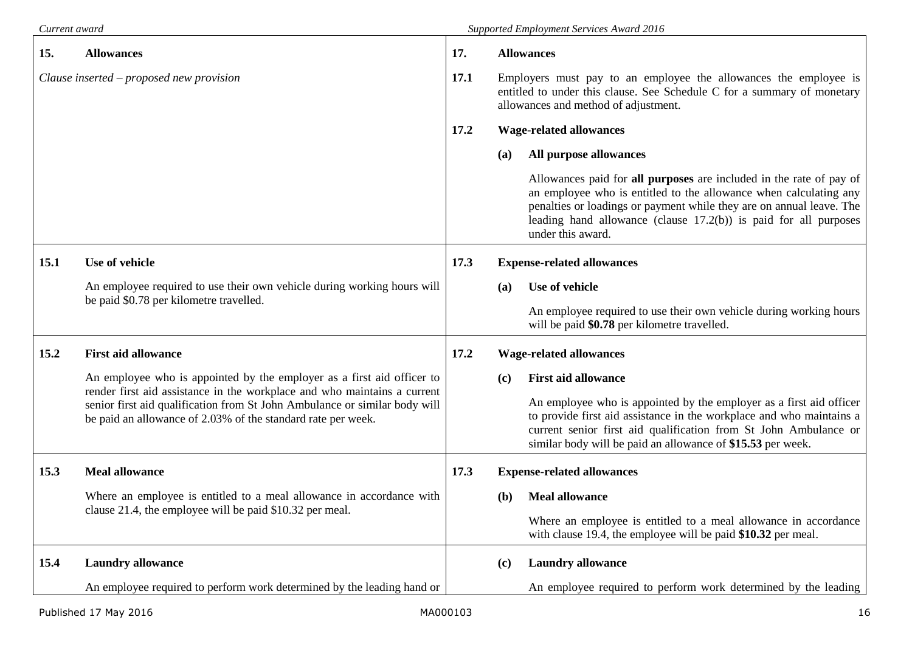| Current award                            |                                                                                                                                                                                                                        |      | Supported Employment Services Award 2016                                                                                                                                                                                                                                                                     |
|------------------------------------------|------------------------------------------------------------------------------------------------------------------------------------------------------------------------------------------------------------------------|------|--------------------------------------------------------------------------------------------------------------------------------------------------------------------------------------------------------------------------------------------------------------------------------------------------------------|
| 15.                                      | <b>Allowances</b>                                                                                                                                                                                                      | 17.  | <b>Allowances</b>                                                                                                                                                                                                                                                                                            |
| Clause inserted – proposed new provision |                                                                                                                                                                                                                        | 17.1 | Employers must pay to an employee the allowances the employee is<br>entitled to under this clause. See Schedule C for a summary of monetary<br>allowances and method of adjustment.                                                                                                                          |
|                                          |                                                                                                                                                                                                                        | 17.2 | <b>Wage-related allowances</b>                                                                                                                                                                                                                                                                               |
|                                          |                                                                                                                                                                                                                        |      | All purpose allowances<br>(a)                                                                                                                                                                                                                                                                                |
|                                          |                                                                                                                                                                                                                        |      | Allowances paid for all purposes are included in the rate of pay of<br>an employee who is entitled to the allowance when calculating any<br>penalties or loadings or payment while they are on annual leave. The<br>leading hand allowance (clause $17.2(b)$ ) is paid for all purposes<br>under this award. |
| 15.1                                     | Use of vehicle                                                                                                                                                                                                         | 17.3 | <b>Expense-related allowances</b>                                                                                                                                                                                                                                                                            |
|                                          | An employee required to use their own vehicle during working hours will                                                                                                                                                |      | Use of vehicle<br><b>(a)</b>                                                                                                                                                                                                                                                                                 |
|                                          | be paid \$0.78 per kilometre travelled.                                                                                                                                                                                |      | An employee required to use their own vehicle during working hours<br>will be paid \$0.78 per kilometre travelled.                                                                                                                                                                                           |
| 15.2                                     | <b>First aid allowance</b>                                                                                                                                                                                             | 17.2 | <b>Wage-related allowances</b>                                                                                                                                                                                                                                                                               |
|                                          | An employee who is appointed by the employer as a first aid officer to                                                                                                                                                 |      | <b>First aid allowance</b><br>(c)                                                                                                                                                                                                                                                                            |
|                                          | render first aid assistance in the workplace and who maintains a current<br>senior first aid qualification from St John Ambulance or similar body will<br>be paid an allowance of 2.03% of the standard rate per week. |      | An employee who is appointed by the employer as a first aid officer<br>to provide first aid assistance in the workplace and who maintains a<br>current senior first aid qualification from St John Ambulance or<br>similar body will be paid an allowance of \$15.53 per week.                               |
| 15.3                                     | <b>Meal allowance</b>                                                                                                                                                                                                  | 17.3 | <b>Expense-related allowances</b>                                                                                                                                                                                                                                                                            |
|                                          | Where an employee is entitled to a meal allowance in accordance with<br>clause 21.4, the employee will be paid \$10.32 per meal.                                                                                       |      | <b>Meal allowance</b><br>(b)                                                                                                                                                                                                                                                                                 |
|                                          |                                                                                                                                                                                                                        |      | Where an employee is entitled to a meal allowance in accordance<br>with clause 19.4, the employee will be paid \$10.32 per meal.                                                                                                                                                                             |
| 15.4                                     | <b>Laundry allowance</b>                                                                                                                                                                                               |      | <b>Laundry allowance</b><br>(c)                                                                                                                                                                                                                                                                              |
|                                          | An employee required to perform work determined by the leading hand or                                                                                                                                                 |      | An employee required to perform work determined by the leading                                                                                                                                                                                                                                               |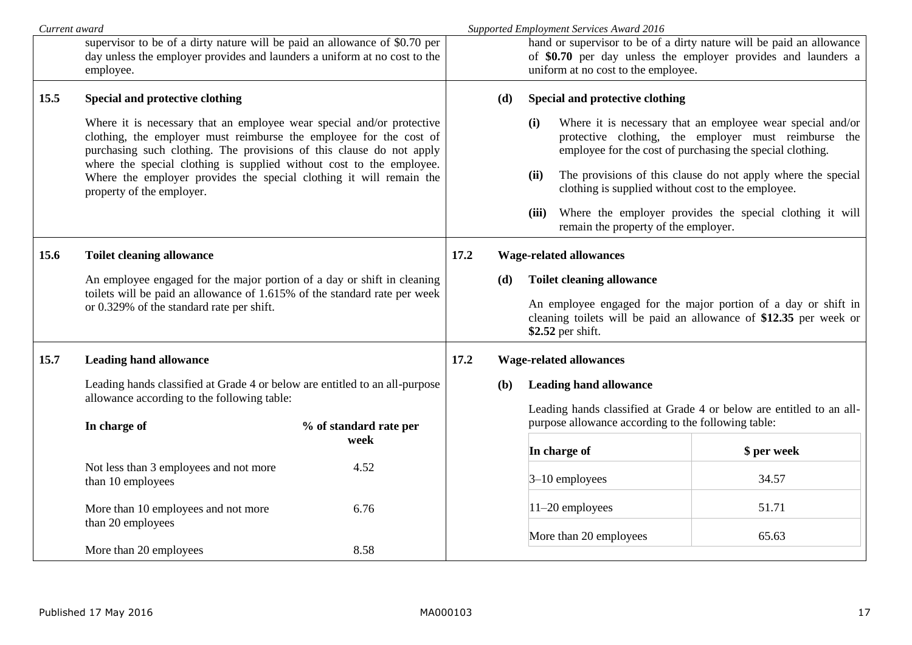| supervisor to be of a dirty nature will be paid an allowance of \$0.70 per<br>hand or supervisor to be of a dirty nature will be paid an allowance<br>day unless the employer provides and launders a uniform at no cost to the<br>of \$0.70 per day unless the employer provides and launders a<br>uniform at no cost to the employee.<br>employee.<br>15.5<br>Special and protective clothing<br>Special and protective clothing<br>(d)                                                                                                                                                                                                                                                                               |             |
|-------------------------------------------------------------------------------------------------------------------------------------------------------------------------------------------------------------------------------------------------------------------------------------------------------------------------------------------------------------------------------------------------------------------------------------------------------------------------------------------------------------------------------------------------------------------------------------------------------------------------------------------------------------------------------------------------------------------------|-------------|
|                                                                                                                                                                                                                                                                                                                                                                                                                                                                                                                                                                                                                                                                                                                         |             |
|                                                                                                                                                                                                                                                                                                                                                                                                                                                                                                                                                                                                                                                                                                                         |             |
| Where it is necessary that an employee wear special and/or<br>Where it is necessary that an employee wear special and/or protective<br>(i)<br>clothing, the employer must reimburse the employee for the cost of<br>protective clothing, the employer must reimburse the<br>purchasing such clothing. The provisions of this clause do not apply<br>employee for the cost of purchasing the special clothing.<br>where the special clothing is supplied without cost to the employee.<br>The provisions of this clause do not apply where the special<br>(ii)<br>Where the employer provides the special clothing it will remain the<br>clothing is supplied without cost to the employee.<br>property of the employer. |             |
| Where the employer provides the special clothing it will<br>(iii)<br>remain the property of the employer.                                                                                                                                                                                                                                                                                                                                                                                                                                                                                                                                                                                                               |             |
| 15.6<br><b>Toilet cleaning allowance</b><br>17.2<br><b>Wage-related allowances</b>                                                                                                                                                                                                                                                                                                                                                                                                                                                                                                                                                                                                                                      |             |
| An employee engaged for the major portion of a day or shift in cleaning<br><b>Toilet cleaning allowance</b><br>(d)<br>toilets will be paid an allowance of 1.615% of the standard rate per week<br>An employee engaged for the major portion of a day or shift in<br>or 0.329% of the standard rate per shift.<br>cleaning toilets will be paid an allowance of \$12.35 per week or<br>\$2.52 per shift.                                                                                                                                                                                                                                                                                                                |             |
| 15.7<br>17.2<br><b>Leading hand allowance</b><br><b>Wage-related allowances</b>                                                                                                                                                                                                                                                                                                                                                                                                                                                                                                                                                                                                                                         |             |
| Leading hands classified at Grade 4 or below are entitled to an all-purpose<br><b>Leading hand allowance</b><br><b>(b)</b><br>allowance according to the following table:<br>Leading hands classified at Grade 4 or below are entitled to an all-                                                                                                                                                                                                                                                                                                                                                                                                                                                                       |             |
| purpose allowance according to the following table:<br>In charge of<br>% of standard rate per<br>week<br>In charge of                                                                                                                                                                                                                                                                                                                                                                                                                                                                                                                                                                                                   | \$ per week |
| 4.52<br>Not less than 3 employees and not more<br>$3-10$ employees<br>than 10 employees                                                                                                                                                                                                                                                                                                                                                                                                                                                                                                                                                                                                                                 | 34.57       |
| 11-20 employees<br>More than 10 employees and not more<br>6.76<br>than 20 employees                                                                                                                                                                                                                                                                                                                                                                                                                                                                                                                                                                                                                                     | 51.71       |
| More than 20 employees<br>More than 20 employees<br>8.58                                                                                                                                                                                                                                                                                                                                                                                                                                                                                                                                                                                                                                                                | 65.63       |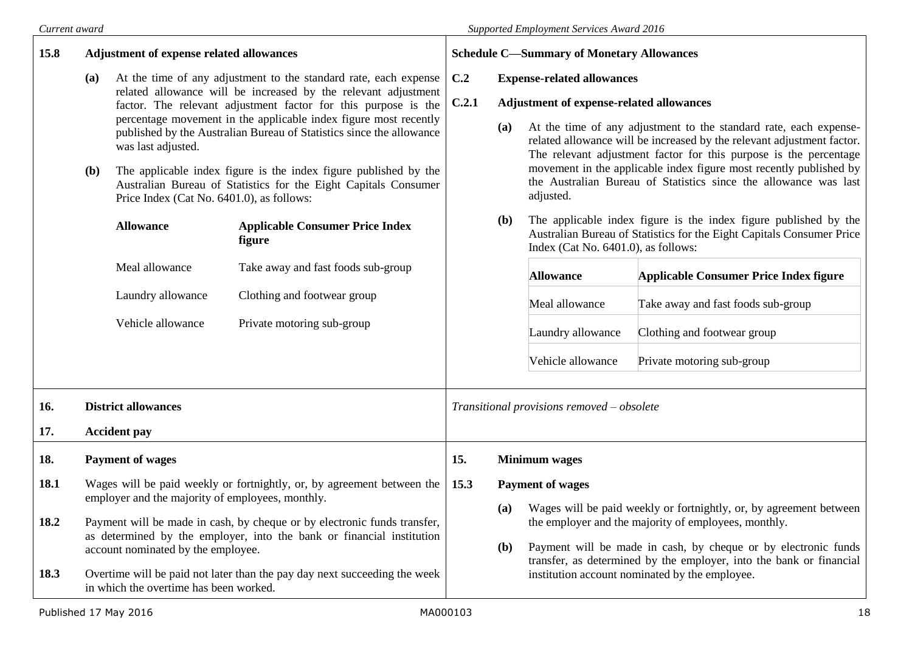$\blacksquare$ 

| 15.8 | <b>Adjustment of expense related allowances</b> |                                                                                                                                                                                      | <b>Schedule C-Summary of Monetary Allowances</b>                                                                                                                                                                                                                         |                                                             |                                                                                                                                                                                               |                                                                                                                                                                                                                                                                                                                                                            |                                                                    |
|------|-------------------------------------------------|--------------------------------------------------------------------------------------------------------------------------------------------------------------------------------------|--------------------------------------------------------------------------------------------------------------------------------------------------------------------------------------------------------------------------------------------------------------------------|-------------------------------------------------------------|-----------------------------------------------------------------------------------------------------------------------------------------------------------------------------------------------|------------------------------------------------------------------------------------------------------------------------------------------------------------------------------------------------------------------------------------------------------------------------------------------------------------------------------------------------------------|--------------------------------------------------------------------|
|      | (a)                                             |                                                                                                                                                                                      | At the time of any adjustment to the standard rate, each expense<br>related allowance will be increased by the relevant adjustment<br>factor. The relevant adjustment factor for this purpose is the<br>percentage movement in the applicable index figure most recently | C.2<br>C.2.1                                                | <b>Expense-related allowances</b><br>Adjustment of expense-related allowances                                                                                                                 |                                                                                                                                                                                                                                                                                                                                                            |                                                                    |
|      | <b>(b)</b>                                      | was last adjusted.                                                                                                                                                                   | published by the Australian Bureau of Statistics since the allowance<br>The applicable index figure is the index figure published by the                                                                                                                                 |                                                             | (a)                                                                                                                                                                                           | At the time of any adjustment to the standard rate, each expense-<br>related allowance will be increased by the relevant adjustment factor.<br>The relevant adjustment factor for this purpose is the percentage<br>movement in the applicable index figure most recently published by<br>the Australian Bureau of Statistics since the allowance was last |                                                                    |
|      |                                                 | Australian Bureau of Statistics for the Eight Capitals Consumer<br>Price Index (Cat No. 6401.0), as follows:<br><b>Applicable Consumer Price Index</b><br><b>Allowance</b><br>figure |                                                                                                                                                                                                                                                                          | <b>(b)</b>                                                  | adjusted.<br>The applicable index figure is the index figure published by the<br>Australian Bureau of Statistics for the Eight Capitals Consumer Price<br>Index (Cat No. 6401.0), as follows: |                                                                                                                                                                                                                                                                                                                                                            |                                                                    |
|      |                                                 | Meal allowance                                                                                                                                                                       | Take away and fast foods sub-group                                                                                                                                                                                                                                       |                                                             |                                                                                                                                                                                               | <b>Allowance</b>                                                                                                                                                                                                                                                                                                                                           | Applicable Consumer Price Index figure                             |
|      |                                                 | Laundry allowance                                                                                                                                                                    | Clothing and footwear group                                                                                                                                                                                                                                              |                                                             |                                                                                                                                                                                               | Meal allowance                                                                                                                                                                                                                                                                                                                                             | Take away and fast foods sub-group                                 |
|      |                                                 | Vehicle allowance                                                                                                                                                                    | Private motoring sub-group                                                                                                                                                                                                                                               |                                                             | Laundry allowance                                                                                                                                                                             | Clothing and footwear group                                                                                                                                                                                                                                                                                                                                |                                                                    |
|      |                                                 |                                                                                                                                                                                      |                                                                                                                                                                                                                                                                          |                                                             |                                                                                                                                                                                               | Vehicle allowance                                                                                                                                                                                                                                                                                                                                          | Private motoring sub-group                                         |
| 16.  | <b>District allowances</b>                      |                                                                                                                                                                                      | Transitional provisions removed - obsolete                                                                                                                                                                                                                               |                                                             |                                                                                                                                                                                               |                                                                                                                                                                                                                                                                                                                                                            |                                                                    |
| 17.  |                                                 | <b>Accident pay</b>                                                                                                                                                                  |                                                                                                                                                                                                                                                                          |                                                             |                                                                                                                                                                                               |                                                                                                                                                                                                                                                                                                                                                            |                                                                    |
| 18.  |                                                 | <b>Payment of wages</b>                                                                                                                                                              |                                                                                                                                                                                                                                                                          | 15.                                                         | <b>Minimum</b> wages                                                                                                                                                                          |                                                                                                                                                                                                                                                                                                                                                            |                                                                    |
| 18.1 |                                                 | Wages will be paid weekly or fortnightly, or, by agreement between the<br>employer and the majority of employees, monthly.                                                           |                                                                                                                                                                                                                                                                          | 15.3                                                        | <b>Payment of wages</b><br>(a)                                                                                                                                                                |                                                                                                                                                                                                                                                                                                                                                            | Wages will be paid weekly or fortnightly, or, by agreement between |
| 18.2 |                                                 | account nominated by the employee.                                                                                                                                                   | Payment will be made in cash, by cheque or by electronic funds transfer,<br>as determined by the employer, into the bank or financial institution                                                                                                                        | the employer and the majority of employees, monthly.<br>(b) | Payment will be made in cash, by cheque or by electronic funds                                                                                                                                |                                                                                                                                                                                                                                                                                                                                                            |                                                                    |
| 18.3 |                                                 | in which the overtime has been worked.                                                                                                                                               | Overtime will be paid not later than the pay day next succeeding the week                                                                                                                                                                                                |                                                             |                                                                                                                                                                                               | transfer, as determined by the employer, into the bank or financial<br>institution account nominated by the employee.                                                                                                                                                                                                                                      |                                                                    |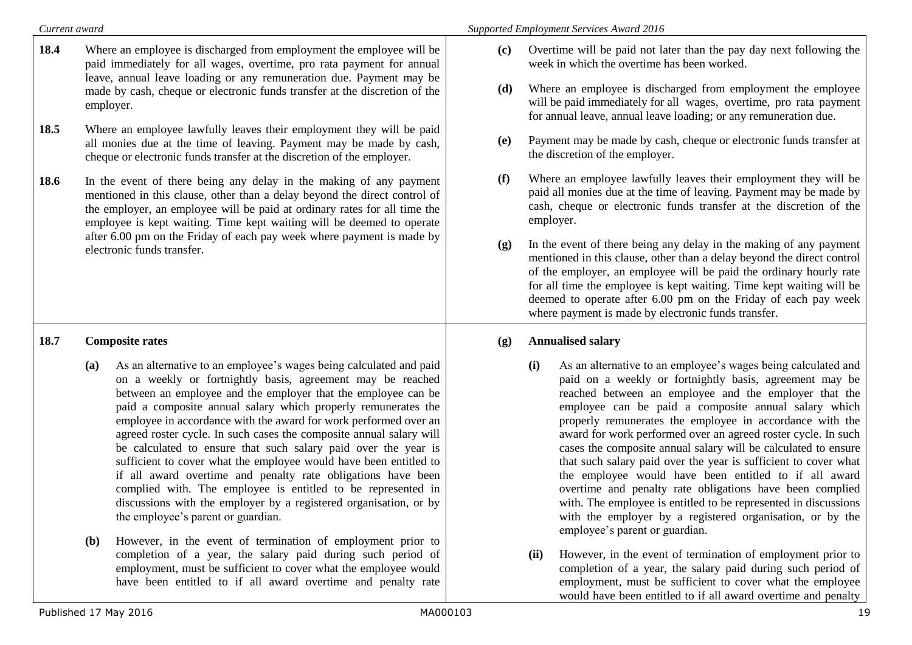| Current award |                                                                                                                                                                                                                                                                                                                                                                                                                                                                                                                                                                                                                                                                                                                                                                                                        | <b>Supported Employment Services Award 2016</b>                                                                                                                                                                                                                                                                                                                                                                                                                                                                                                                                                                                                                                                                                                                                                           |
|---------------|--------------------------------------------------------------------------------------------------------------------------------------------------------------------------------------------------------------------------------------------------------------------------------------------------------------------------------------------------------------------------------------------------------------------------------------------------------------------------------------------------------------------------------------------------------------------------------------------------------------------------------------------------------------------------------------------------------------------------------------------------------------------------------------------------------|-----------------------------------------------------------------------------------------------------------------------------------------------------------------------------------------------------------------------------------------------------------------------------------------------------------------------------------------------------------------------------------------------------------------------------------------------------------------------------------------------------------------------------------------------------------------------------------------------------------------------------------------------------------------------------------------------------------------------------------------------------------------------------------------------------------|
| 18.4          | Where an employee is discharged from employment the employee will be<br>paid immediately for all wages, overtime, pro rata payment for annual<br>leave, annual leave loading or any remuneration due. Payment may be                                                                                                                                                                                                                                                                                                                                                                                                                                                                                                                                                                                   | Overtime will be paid not later than the pay day next following the<br>(c)<br>week in which the overtime has been worked.                                                                                                                                                                                                                                                                                                                                                                                                                                                                                                                                                                                                                                                                                 |
|               | made by cash, cheque or electronic funds transfer at the discretion of the<br>employer.                                                                                                                                                                                                                                                                                                                                                                                                                                                                                                                                                                                                                                                                                                                | Where an employee is discharged from employment the employee<br>(d)<br>will be paid immediately for all wages, overtime, pro rata payment<br>for annual leave, annual leave loading; or any remuneration due.                                                                                                                                                                                                                                                                                                                                                                                                                                                                                                                                                                                             |
| 18.5          | Where an employee lawfully leaves their employment they will be paid<br>all monies due at the time of leaving. Payment may be made by cash,<br>cheque or electronic funds transfer at the discretion of the employer.                                                                                                                                                                                                                                                                                                                                                                                                                                                                                                                                                                                  | Payment may be made by cash, cheque or electronic funds transfer at<br>(e)<br>the discretion of the employer.                                                                                                                                                                                                                                                                                                                                                                                                                                                                                                                                                                                                                                                                                             |
| 18.6          | In the event of there being any delay in the making of any payment<br>mentioned in this clause, other than a delay beyond the direct control of<br>the employer, an employee will be paid at ordinary rates for all time the<br>employee is kept waiting. Time kept waiting will be deemed to operate                                                                                                                                                                                                                                                                                                                                                                                                                                                                                                  | (f)<br>Where an employee lawfully leaves their employment they will be<br>paid all monies due at the time of leaving. Payment may be made by<br>cash, cheque or electronic funds transfer at the discretion of the<br>employer.                                                                                                                                                                                                                                                                                                                                                                                                                                                                                                                                                                           |
|               | after 6.00 pm on the Friday of each pay week where payment is made by<br>electronic funds transfer.                                                                                                                                                                                                                                                                                                                                                                                                                                                                                                                                                                                                                                                                                                    | In the event of there being any delay in the making of any payment<br>(g)<br>mentioned in this clause, other than a delay beyond the direct control<br>of the employer, an employee will be paid the ordinary hourly rate<br>for all time the employee is kept waiting. Time kept waiting will be<br>deemed to operate after 6.00 pm on the Friday of each pay week<br>where payment is made by electronic funds transfer.                                                                                                                                                                                                                                                                                                                                                                                |
| 18.7          | <b>Composite rates</b>                                                                                                                                                                                                                                                                                                                                                                                                                                                                                                                                                                                                                                                                                                                                                                                 | <b>Annualised salary</b><br>(g)                                                                                                                                                                                                                                                                                                                                                                                                                                                                                                                                                                                                                                                                                                                                                                           |
|               | As an alternative to an employee's wages being calculated and paid<br>(a)<br>on a weekly or fortnightly basis, agreement may be reached<br>between an employee and the employer that the employee can be<br>paid a composite annual salary which properly remunerates the<br>employee in accordance with the award for work performed over an<br>agreed roster cycle. In such cases the composite annual salary will<br>be calculated to ensure that such salary paid over the year is<br>sufficient to cover what the employee would have been entitled to<br>if all award overtime and penalty rate obligations have been<br>complied with. The employee is entitled to be represented in<br>discussions with the employer by a registered organisation, or by<br>the employee's parent or guardian. | As an alternative to an employee's wages being calculated and<br>(i)<br>paid on a weekly or fortnightly basis, agreement may be<br>reached between an employee and the employer that the<br>employee can be paid a composite annual salary which<br>properly remunerates the employee in accordance with the<br>award for work performed over an agreed roster cycle. In such<br>cases the composite annual salary will be calculated to ensure<br>that such salary paid over the year is sufficient to cover what<br>the employee would have been entitled to if all award<br>overtime and penalty rate obligations have been complied<br>with. The employee is entitled to be represented in discussions<br>with the employer by a registered organisation, or by the<br>employee's parent or guardian. |
|               | However, in the event of termination of employment prior to<br><b>(b)</b><br>completion of a year, the salary paid during such period of                                                                                                                                                                                                                                                                                                                                                                                                                                                                                                                                                                                                                                                               | However, in the event of termination of employment prior to<br>(ii)                                                                                                                                                                                                                                                                                                                                                                                                                                                                                                                                                                                                                                                                                                                                       |

**(ii)** However, in the event of termination of employment prior to completion of a year, the salary paid during such period of employment, must be sufficient to cover what the employee would have been entitled to if all award overtime and penalty

employment, must be sufficient to cover what the employee would have been entitled to if all award overtime and penalty rate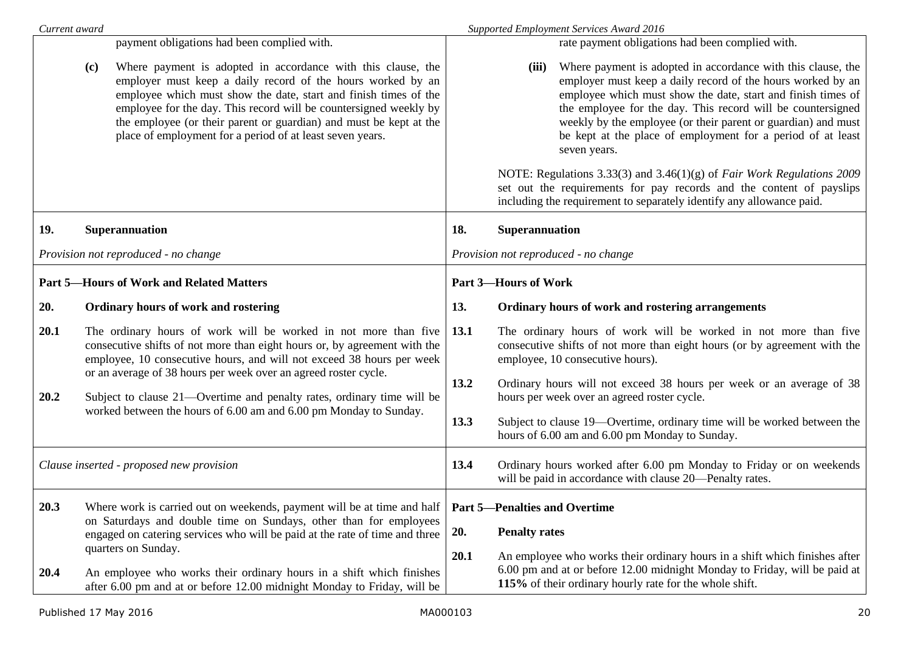| Current award |     |                                                                                                                                                                                                                                                                                                                                                                                                         |              | Supported Employment Services Award 2016                                                                                                                                                                                                                                                                                                                                                                                                                                                                                                                                                                                                      |
|---------------|-----|---------------------------------------------------------------------------------------------------------------------------------------------------------------------------------------------------------------------------------------------------------------------------------------------------------------------------------------------------------------------------------------------------------|--------------|-----------------------------------------------------------------------------------------------------------------------------------------------------------------------------------------------------------------------------------------------------------------------------------------------------------------------------------------------------------------------------------------------------------------------------------------------------------------------------------------------------------------------------------------------------------------------------------------------------------------------------------------------|
|               |     | payment obligations had been complied with.                                                                                                                                                                                                                                                                                                                                                             |              | rate payment obligations had been complied with.                                                                                                                                                                                                                                                                                                                                                                                                                                                                                                                                                                                              |
|               | (c) | Where payment is adopted in accordance with this clause, the<br>employer must keep a daily record of the hours worked by an<br>employee which must show the date, start and finish times of the<br>employee for the day. This record will be countersigned weekly by<br>the employee (or their parent or guardian) and must be kept at the<br>place of employment for a period of at least seven years. |              | Where payment is adopted in accordance with this clause, the<br>(iii)<br>employer must keep a daily record of the hours worked by an<br>employee which must show the date, start and finish times of<br>the employee for the day. This record will be countersigned<br>weekly by the employee (or their parent or guardian) and must<br>be kept at the place of employment for a period of at least<br>seven years.<br>NOTE: Regulations 3.33(3) and 3.46(1)(g) of Fair Work Regulations 2009<br>set out the requirements for pay records and the content of payslips<br>including the requirement to separately identify any allowance paid. |
| 19.           |     | Superannuation                                                                                                                                                                                                                                                                                                                                                                                          | 18.          | Superannuation                                                                                                                                                                                                                                                                                                                                                                                                                                                                                                                                                                                                                                |
|               |     | Provision not reproduced - no change                                                                                                                                                                                                                                                                                                                                                                    |              | Provision not reproduced - no change                                                                                                                                                                                                                                                                                                                                                                                                                                                                                                                                                                                                          |
|               |     | <b>Part 5-Hours of Work and Related Matters</b>                                                                                                                                                                                                                                                                                                                                                         |              | <b>Part 3-Hours of Work</b>                                                                                                                                                                                                                                                                                                                                                                                                                                                                                                                                                                                                                   |
| 20.           |     | Ordinary hours of work and rostering                                                                                                                                                                                                                                                                                                                                                                    | 13.          | Ordinary hours of work and rostering arrangements                                                                                                                                                                                                                                                                                                                                                                                                                                                                                                                                                                                             |
| 20.1          |     | The ordinary hours of work will be worked in not more than five<br>consecutive shifts of not more than eight hours or, by agreement with the<br>employee, 10 consecutive hours, and will not exceed 38 hours per week<br>or an average of 38 hours per week over an agreed roster cycle.                                                                                                                | 13.1<br>13.2 | The ordinary hours of work will be worked in not more than five<br>consecutive shifts of not more than eight hours (or by agreement with the<br>employee, 10 consecutive hours).<br>Ordinary hours will not exceed 38 hours per week or an average of 38                                                                                                                                                                                                                                                                                                                                                                                      |
| 20.2          |     | Subject to clause 21—Overtime and penalty rates, ordinary time will be<br>worked between the hours of 6.00 am and 6.00 pm Monday to Sunday.                                                                                                                                                                                                                                                             |              | hours per week over an agreed roster cycle.                                                                                                                                                                                                                                                                                                                                                                                                                                                                                                                                                                                                   |
|               |     |                                                                                                                                                                                                                                                                                                                                                                                                         | 13.3         | Subject to clause 19—Overtime, ordinary time will be worked between the<br>hours of 6.00 am and 6.00 pm Monday to Sunday.                                                                                                                                                                                                                                                                                                                                                                                                                                                                                                                     |
|               |     | Clause inserted - proposed new provision                                                                                                                                                                                                                                                                                                                                                                | 13.4         | Ordinary hours worked after 6.00 pm Monday to Friday or on weekends<br>will be paid in accordance with clause 20—Penalty rates.                                                                                                                                                                                                                                                                                                                                                                                                                                                                                                               |
| 20.3          |     | Where work is carried out on weekends, payment will be at time and half   Part 5—Penalties and Overtime<br>on Saturdays and double time on Sundays, other than for employees                                                                                                                                                                                                                            |              |                                                                                                                                                                                                                                                                                                                                                                                                                                                                                                                                                                                                                                               |
|               |     | engaged on catering services who will be paid at the rate of time and three                                                                                                                                                                                                                                                                                                                             | <b>20.</b>   | <b>Penalty rates</b>                                                                                                                                                                                                                                                                                                                                                                                                                                                                                                                                                                                                                          |
| 20.4          |     | quarters on Sunday.<br>An employee who works their ordinary hours in a shift which finishes<br>after 6.00 pm and at or before 12.00 midnight Monday to Friday, will be                                                                                                                                                                                                                                  | 20.1         | An employee who works their ordinary hours in a shift which finishes after<br>6.00 pm and at or before 12.00 midnight Monday to Friday, will be paid at<br>115% of their ordinary hourly rate for the whole shift.                                                                                                                                                                                                                                                                                                                                                                                                                            |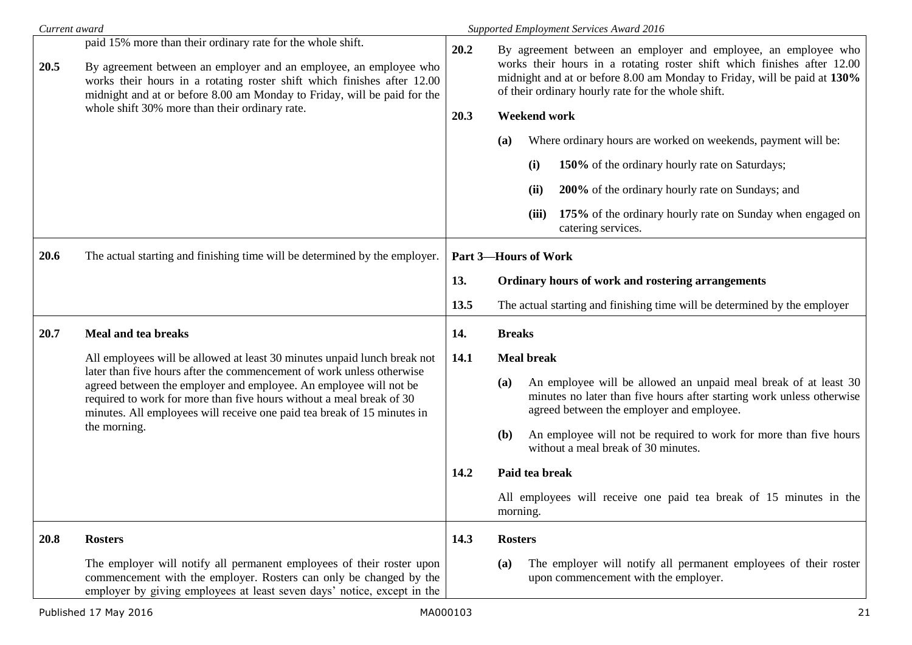| Current award |                                                                                                                                                                                                                                                                                                                                                                           |      | <b>Supported Employment Services Award 2016</b>                                                                                                                                                                                                                             |
|---------------|---------------------------------------------------------------------------------------------------------------------------------------------------------------------------------------------------------------------------------------------------------------------------------------------------------------------------------------------------------------------------|------|-----------------------------------------------------------------------------------------------------------------------------------------------------------------------------------------------------------------------------------------------------------------------------|
| 20.5          | paid 15% more than their ordinary rate for the whole shift.<br>By agreement between an employer and an employee, an employee who<br>works their hours in a rotating roster shift which finishes after 12.00<br>midnight and at or before 8.00 am Monday to Friday, will be paid for the                                                                                   | 20.2 | By agreement between an employer and employee, an employee who<br>works their hours in a rotating roster shift which finishes after 12.00<br>midnight and at or before 8.00 am Monday to Friday, will be paid at 130%<br>of their ordinary hourly rate for the whole shift. |
|               | whole shift 30% more than their ordinary rate.                                                                                                                                                                                                                                                                                                                            | 20.3 | <b>Weekend work</b>                                                                                                                                                                                                                                                         |
|               |                                                                                                                                                                                                                                                                                                                                                                           |      | Where ordinary hours are worked on weekends, payment will be:<br>(a)                                                                                                                                                                                                        |
|               |                                                                                                                                                                                                                                                                                                                                                                           |      | 150% of the ordinary hourly rate on Saturdays;<br>(i)                                                                                                                                                                                                                       |
|               |                                                                                                                                                                                                                                                                                                                                                                           |      | 200% of the ordinary hourly rate on Sundays; and<br>(ii)                                                                                                                                                                                                                    |
|               |                                                                                                                                                                                                                                                                                                                                                                           |      | 175% of the ordinary hourly rate on Sunday when engaged on<br>(iii)<br>catering services.                                                                                                                                                                                   |
| 20.6          | The actual starting and finishing time will be determined by the employer.                                                                                                                                                                                                                                                                                                |      | <b>Part 3-Hours of Work</b>                                                                                                                                                                                                                                                 |
|               |                                                                                                                                                                                                                                                                                                                                                                           | 13.  | Ordinary hours of work and rostering arrangements                                                                                                                                                                                                                           |
|               |                                                                                                                                                                                                                                                                                                                                                                           | 13.5 | The actual starting and finishing time will be determined by the employer                                                                                                                                                                                                   |
| 20.7          | Meal and tea breaks                                                                                                                                                                                                                                                                                                                                                       | 14.  | <b>Breaks</b>                                                                                                                                                                                                                                                               |
|               | All employees will be allowed at least 30 minutes unpaid lunch break not<br>later than five hours after the commencement of work unless otherwise<br>agreed between the employer and employee. An employee will not be<br>required to work for more than five hours without a meal break of 30<br>minutes. All employees will receive one paid tea break of 15 minutes in | 14.1 | <b>Meal break</b>                                                                                                                                                                                                                                                           |
|               |                                                                                                                                                                                                                                                                                                                                                                           |      | An employee will be allowed an unpaid meal break of at least 30<br>(a)<br>minutes no later than five hours after starting work unless otherwise<br>agreed between the employer and employee.                                                                                |
|               | the morning.                                                                                                                                                                                                                                                                                                                                                              |      | An employee will not be required to work for more than five hours<br>(b)<br>without a meal break of 30 minutes.                                                                                                                                                             |
|               |                                                                                                                                                                                                                                                                                                                                                                           | 14.2 | Paid tea break                                                                                                                                                                                                                                                              |
|               |                                                                                                                                                                                                                                                                                                                                                                           |      | All employees will receive one paid tea break of 15 minutes in the<br>morning.                                                                                                                                                                                              |
| 20.8          | <b>Rosters</b>                                                                                                                                                                                                                                                                                                                                                            | 14.3 | <b>Rosters</b>                                                                                                                                                                                                                                                              |
|               | The employer will notify all permanent employees of their roster upon<br>commencement with the employer. Rosters can only be changed by the<br>employer by giving employees at least seven days' notice, except in the                                                                                                                                                    |      | The employer will notify all permanent employees of their roster<br>(a)<br>upon commencement with the employer.                                                                                                                                                             |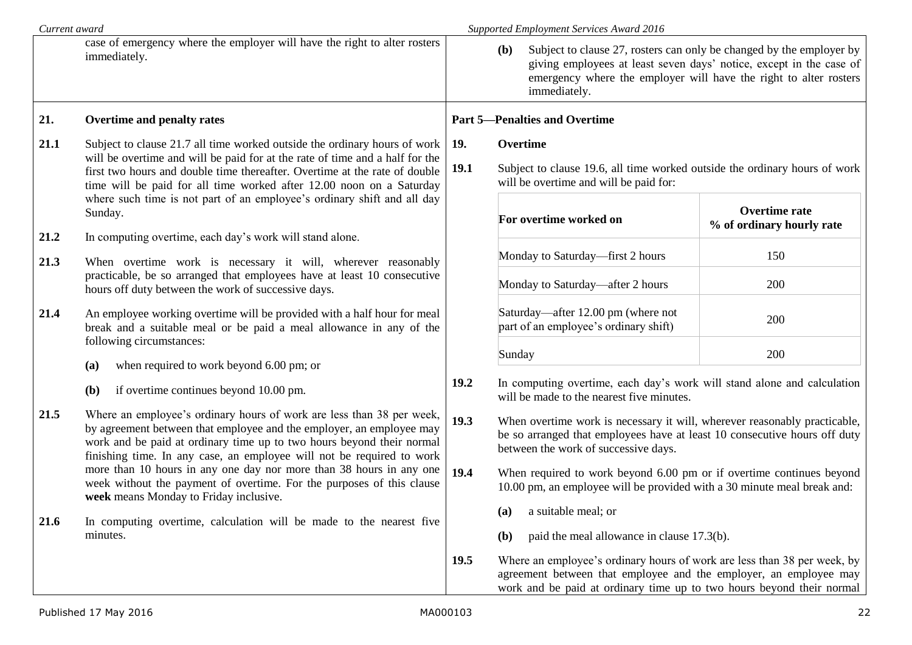|      | Current award                                                                                                                                                                                                                                                                                                   |                    | Supported Employment Services Award 2016                                                                                                                                                                                                         |                                                   |  |  |
|------|-----------------------------------------------------------------------------------------------------------------------------------------------------------------------------------------------------------------------------------------------------------------------------------------------------------------|--------------------|--------------------------------------------------------------------------------------------------------------------------------------------------------------------------------------------------------------------------------------------------|---------------------------------------------------|--|--|
|      | case of emergency where the employer will have the right to alter rosters<br>immediately.                                                                                                                                                                                                                       |                    | Subject to clause 27, rosters can only be changed by the employer by<br>( <b>b</b> )<br>giving employees at least seven days' notice, except in the case of<br>emergency where the employer will have the right to alter rosters<br>immediately. |                                                   |  |  |
| 21.  | Overtime and penalty rates                                                                                                                                                                                                                                                                                      |                    | <b>Part 5-Penalties and Overtime</b>                                                                                                                                                                                                             |                                                   |  |  |
| 21.1 | Subject to clause 21.7 all time worked outside the ordinary hours of work<br>will be overtime and will be paid for at the rate of time and a half for the<br>first two hours and double time thereafter. Overtime at the rate of double<br>time will be paid for all time worked after 12.00 noon on a Saturday | 19.<br><b>19.1</b> | Overtime<br>Subject to clause 19.6, all time worked outside the ordinary hours of work<br>will be overtime and will be paid for:                                                                                                                 |                                                   |  |  |
|      | where such time is not part of an employee's ordinary shift and all day<br>Sunday.                                                                                                                                                                                                                              |                    | For overtime worked on                                                                                                                                                                                                                           | <b>Overtime rate</b><br>% of ordinary hourly rate |  |  |
| 21.2 | In computing overtime, each day's work will stand alone.                                                                                                                                                                                                                                                        |                    | Monday to Saturday—first 2 hours                                                                                                                                                                                                                 | 150                                               |  |  |
| 21.3 | When overtime work is necessary it will, wherever reasonably<br>practicable, be so arranged that employees have at least 10 consecutive<br>hours off duty between the work of successive days.                                                                                                                  |                    | Monday to Saturday—after 2 hours                                                                                                                                                                                                                 | 200                                               |  |  |
| 21.4 | An employee working overtime will be provided with a half hour for meal<br>break and a suitable meal or be paid a meal allowance in any of the                                                                                                                                                                  |                    | Saturday—after 12.00 pm (where not<br>part of an employee's ordinary shift)                                                                                                                                                                      | 200                                               |  |  |
|      | following circumstances:<br>when required to work beyond 6.00 pm; or<br>(a)                                                                                                                                                                                                                                     |                    | Sunday                                                                                                                                                                                                                                           | 200                                               |  |  |
|      | if overtime continues beyond 10.00 pm.<br>(b)                                                                                                                                                                                                                                                                   | 19.2               | In computing overtime, each day's work will stand alone and calculation<br>will be made to the nearest five minutes.                                                                                                                             |                                                   |  |  |
| 21.5 | Where an employee's ordinary hours of work are less than 38 per week,<br>by agreement between that employee and the employer, an employee may<br>work and be paid at ordinary time up to two hours beyond their normal<br>finishing time. In any case, an employee will not be required to work                 | 19.3               | When overtime work is necessary it will, wherever reasonably practicable,<br>be so arranged that employees have at least 10 consecutive hours off duty<br>between the work of successive days.                                                   |                                                   |  |  |
|      | more than 10 hours in any one day nor more than 38 hours in any one<br>week without the payment of overtime. For the purposes of this clause<br>week means Monday to Friday inclusive.                                                                                                                          | 19.4               | When required to work beyond 6.00 pm or if overtime continues beyond<br>10.00 pm, an employee will be provided with a 30 minute meal break and:                                                                                                  |                                                   |  |  |
| 21.6 | In computing overtime, calculation will be made to the nearest five<br>minutes.                                                                                                                                                                                                                                 |                    | (a) a suitable meal; or<br>(a)<br>paid the meal allowance in clause 17.3(b).<br>(b)                                                                                                                                                              |                                                   |  |  |
|      |                                                                                                                                                                                                                                                                                                                 | 19.5               | Where an employee's ordinary hours of work are less than 38 per week, by<br>agreement between that employee and the employer, an employee may<br>work and be paid at ordinary time up to two hours beyond their normal                           |                                                   |  |  |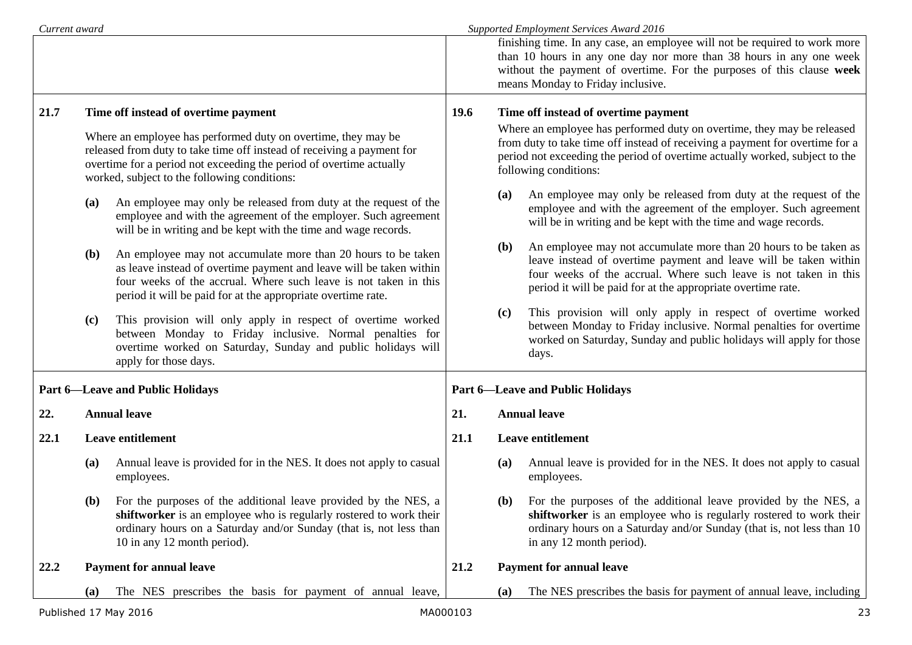| Current award         |                                                                                                                                                                                                                                                                |                                                                                                                                                                                                                                                                          |                                         |                                                                                                                                                                                                                                                                | Supported Employment Services Award 2016                                                                                                                                                                                                                                 |  |
|-----------------------|----------------------------------------------------------------------------------------------------------------------------------------------------------------------------------------------------------------------------------------------------------------|--------------------------------------------------------------------------------------------------------------------------------------------------------------------------------------------------------------------------------------------------------------------------|-----------------------------------------|----------------------------------------------------------------------------------------------------------------------------------------------------------------------------------------------------------------------------------------------------------------|--------------------------------------------------------------------------------------------------------------------------------------------------------------------------------------------------------------------------------------------------------------------------|--|
|                       |                                                                                                                                                                                                                                                                |                                                                                                                                                                                                                                                                          |                                         |                                                                                                                                                                                                                                                                | finishing time. In any case, an employee will not be required to work more<br>than 10 hours in any one day nor more than 38 hours in any one week<br>without the payment of overtime. For the purposes of this clause week<br>means Monday to Friday inclusive.          |  |
| 21.7                  |                                                                                                                                                                                                                                                                | Time off instead of overtime payment                                                                                                                                                                                                                                     | <b>19.6</b>                             |                                                                                                                                                                                                                                                                | Time off instead of overtime payment                                                                                                                                                                                                                                     |  |
|                       | Where an employee has performed duty on overtime, they may be<br>released from duty to take time off instead of receiving a payment for<br>overtime for a period not exceeding the period of overtime actually<br>worked, subject to the following conditions: |                                                                                                                                                                                                                                                                          |                                         | Where an employee has performed duty on overtime, they may be released<br>from duty to take time off instead of receiving a payment for overtime for a<br>period not exceeding the period of overtime actually worked, subject to the<br>following conditions: |                                                                                                                                                                                                                                                                          |  |
|                       | (a)                                                                                                                                                                                                                                                            | An employee may only be released from duty at the request of the<br>employee and with the agreement of the employer. Such agreement<br>will be in writing and be kept with the time and wage records.                                                                    |                                         | (a)                                                                                                                                                                                                                                                            | An employee may only be released from duty at the request of the<br>employee and with the agreement of the employer. Such agreement<br>will be in writing and be kept with the time and wage records.                                                                    |  |
|                       | <b>(b)</b>                                                                                                                                                                                                                                                     | An employee may not accumulate more than 20 hours to be taken<br>as leave instead of overtime payment and leave will be taken within<br>four weeks of the accrual. Where such leave is not taken in this<br>period it will be paid for at the appropriate overtime rate. |                                         | ( <b>b</b> )                                                                                                                                                                                                                                                   | An employee may not accumulate more than 20 hours to be taken as<br>leave instead of overtime payment and leave will be taken within<br>four weeks of the accrual. Where such leave is not taken in this<br>period it will be paid for at the appropriate overtime rate. |  |
|                       | (c)                                                                                                                                                                                                                                                            | This provision will only apply in respect of overtime worked<br>between Monday to Friday inclusive. Normal penalties for<br>overtime worked on Saturday, Sunday and public holidays will<br>apply for those days.                                                        |                                         | (c)                                                                                                                                                                                                                                                            | This provision will only apply in respect of overtime worked<br>between Monday to Friday inclusive. Normal penalties for overtime<br>worked on Saturday, Sunday and public holidays will apply for those<br>days.                                                        |  |
|                       |                                                                                                                                                                                                                                                                | <b>Part 6-Leave and Public Holidays</b>                                                                                                                                                                                                                                  | <b>Part 6-Leave and Public Holidays</b> |                                                                                                                                                                                                                                                                |                                                                                                                                                                                                                                                                          |  |
| 22.                   |                                                                                                                                                                                                                                                                | <b>Annual leave</b>                                                                                                                                                                                                                                                      | 21.                                     | <b>Annual leave</b>                                                                                                                                                                                                                                            |                                                                                                                                                                                                                                                                          |  |
| 22.1                  |                                                                                                                                                                                                                                                                | Leave entitlement                                                                                                                                                                                                                                                        | 21.1                                    |                                                                                                                                                                                                                                                                | <b>Leave entitlement</b>                                                                                                                                                                                                                                                 |  |
|                       | (a)                                                                                                                                                                                                                                                            | Annual leave is provided for in the NES. It does not apply to casual<br>employees.                                                                                                                                                                                       |                                         | (a)                                                                                                                                                                                                                                                            | Annual leave is provided for in the NES. It does not apply to casual<br>employees.                                                                                                                                                                                       |  |
|                       | <b>(b)</b>                                                                                                                                                                                                                                                     | For the purposes of the additional leave provided by the NES, a<br>shiftworker is an employee who is regularly rostered to work their<br>ordinary hours on a Saturday and/or Sunday (that is, not less than<br>10 in any 12 month period).                               |                                         | (b)                                                                                                                                                                                                                                                            | For the purposes of the additional leave provided by the NES, a<br>shiftworker is an employee who is regularly rostered to work their<br>ordinary hours on a Saturday and/or Sunday (that is, not less than 10<br>in any 12 month period).                               |  |
| 22.2                  |                                                                                                                                                                                                                                                                | <b>Payment for annual leave</b>                                                                                                                                                                                                                                          | 21.2                                    |                                                                                                                                                                                                                                                                | <b>Payment for annual leave</b>                                                                                                                                                                                                                                          |  |
|                       | (a)                                                                                                                                                                                                                                                            | The NES prescribes the basis for payment of annual leave,                                                                                                                                                                                                                |                                         | (a)                                                                                                                                                                                                                                                            | The NES prescribes the basis for payment of annual leave, including                                                                                                                                                                                                      |  |
| Published 17 May 2016 |                                                                                                                                                                                                                                                                |                                                                                                                                                                                                                                                                          | MA000103                                |                                                                                                                                                                                                                                                                | 23                                                                                                                                                                                                                                                                       |  |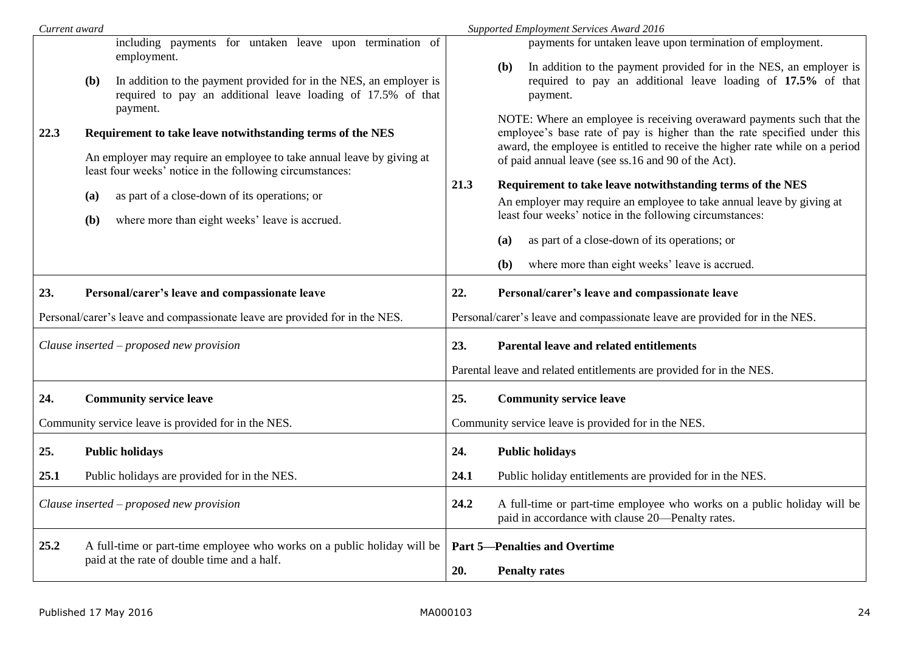| Current award |                                             |                                                                                                                                                                                                                                                                                                    |                                                                             | Supported Employment Services Award 2016                                                                                                                                                                                                                                                                                                                                                                                                                                                                                                                                                                     |  |
|---------------|---------------------------------------------|----------------------------------------------------------------------------------------------------------------------------------------------------------------------------------------------------------------------------------------------------------------------------------------------------|-----------------------------------------------------------------------------|--------------------------------------------------------------------------------------------------------------------------------------------------------------------------------------------------------------------------------------------------------------------------------------------------------------------------------------------------------------------------------------------------------------------------------------------------------------------------------------------------------------------------------------------------------------------------------------------------------------|--|
|               |                                             | including payments for untaken leave upon termination of<br>employment.                                                                                                                                                                                                                            |                                                                             | payments for untaken leave upon termination of employment.<br>In addition to the payment provided for in the NES, an employer is<br>( <b>b</b> )                                                                                                                                                                                                                                                                                                                                                                                                                                                             |  |
|               | <b>(b)</b>                                  | In addition to the payment provided for in the NES, an employer is<br>required to pay an additional leave loading of 17.5% of that<br>payment.                                                                                                                                                     |                                                                             | required to pay an additional leave loading of 17.5% of that<br>payment.                                                                                                                                                                                                                                                                                                                                                                                                                                                                                                                                     |  |
| 22.3          | (a)<br>(b)                                  | Requirement to take leave notwithstanding terms of the NES<br>An employer may require an employee to take annual leave by giving at<br>least four weeks' notice in the following circumstances:<br>as part of a close-down of its operations; or<br>where more than eight weeks' leave is accrued. | 21.3                                                                        | NOTE: Where an employee is receiving overaward payments such that the<br>employee's base rate of pay is higher than the rate specified under this<br>award, the employee is entitled to receive the higher rate while on a period<br>of paid annual leave (see ss.16 and 90 of the Act).<br>Requirement to take leave notwithstanding terms of the NES<br>An employer may require an employee to take annual leave by giving at<br>least four weeks' notice in the following circumstances:<br>as part of a close-down of its operations; or<br>(a)<br>where more than eight weeks' leave is accrued.<br>(b) |  |
| 23.           |                                             | Personal/carer's leave and compassionate leave                                                                                                                                                                                                                                                     | 22.                                                                         | Personal/carer's leave and compassionate leave                                                                                                                                                                                                                                                                                                                                                                                                                                                                                                                                                               |  |
|               |                                             | Personal/carer's leave and compassionate leave are provided for in the NES.                                                                                                                                                                                                                        | Personal/carer's leave and compassionate leave are provided for in the NES. |                                                                                                                                                                                                                                                                                                                                                                                                                                                                                                                                                                                                              |  |
|               |                                             | Clause inserted – proposed new provision                                                                                                                                                                                                                                                           | 23.                                                                         | Parental leave and related entitlements<br>Parental leave and related entitlements are provided for in the NES.                                                                                                                                                                                                                                                                                                                                                                                                                                                                                              |  |
|               |                                             |                                                                                                                                                                                                                                                                                                    |                                                                             |                                                                                                                                                                                                                                                                                                                                                                                                                                                                                                                                                                                                              |  |
| 24.           |                                             | <b>Community service leave</b>                                                                                                                                                                                                                                                                     | 25.                                                                         | <b>Community service leave</b>                                                                                                                                                                                                                                                                                                                                                                                                                                                                                                                                                                               |  |
|               |                                             | Community service leave is provided for in the NES.                                                                                                                                                                                                                                                |                                                                             | Community service leave is provided for in the NES.                                                                                                                                                                                                                                                                                                                                                                                                                                                                                                                                                          |  |
| 25.           |                                             | <b>Public holidays</b>                                                                                                                                                                                                                                                                             | 24.                                                                         | <b>Public holidays</b>                                                                                                                                                                                                                                                                                                                                                                                                                                                                                                                                                                                       |  |
| 25.1          |                                             | Public holidays are provided for in the NES.                                                                                                                                                                                                                                                       | 24.1                                                                        | Public holiday entitlements are provided for in the NES.                                                                                                                                                                                                                                                                                                                                                                                                                                                                                                                                                     |  |
|               |                                             | Clause inserted – proposed new provision                                                                                                                                                                                                                                                           | 24.2                                                                        | A full-time or part-time employee who works on a public holiday will be<br>paid in accordance with clause 20—Penalty rates.                                                                                                                                                                                                                                                                                                                                                                                                                                                                                  |  |
| 25.2          |                                             | A full-time or part-time employee who works on a public holiday will be                                                                                                                                                                                                                            |                                                                             | <b>Part 5-Penalties and Overtime</b>                                                                                                                                                                                                                                                                                                                                                                                                                                                                                                                                                                         |  |
|               | paid at the rate of double time and a half. |                                                                                                                                                                                                                                                                                                    | 20.                                                                         | <b>Penalty rates</b>                                                                                                                                                                                                                                                                                                                                                                                                                                                                                                                                                                                         |  |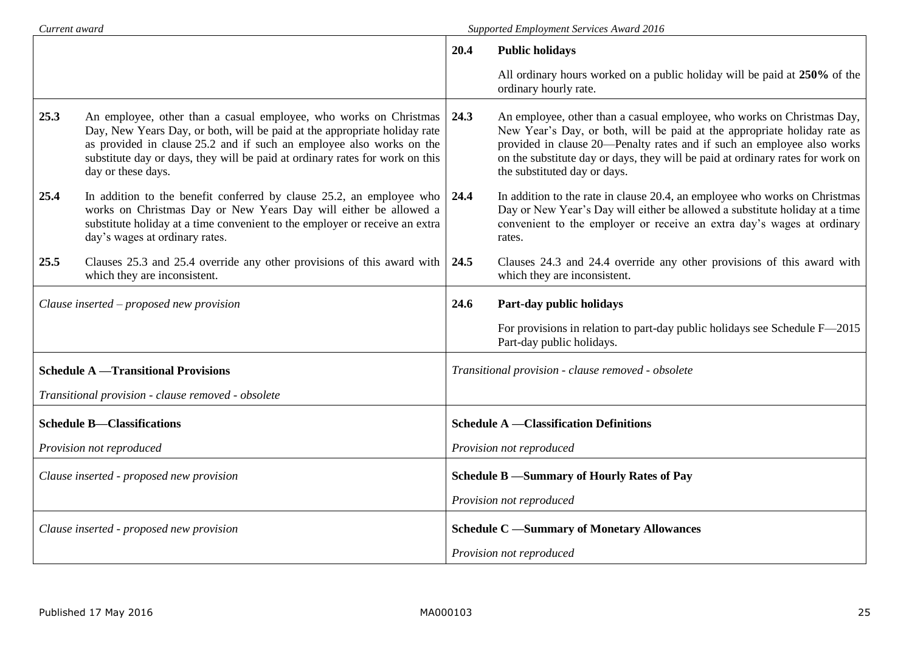| Current award                            |                                                                                                                                                                                                                                                                                                                              | <b>Supported Employment Services Award 2016</b>    |                                                                                                                                                                                                                                                                                                                                                |  |  |
|------------------------------------------|------------------------------------------------------------------------------------------------------------------------------------------------------------------------------------------------------------------------------------------------------------------------------------------------------------------------------|----------------------------------------------------|------------------------------------------------------------------------------------------------------------------------------------------------------------------------------------------------------------------------------------------------------------------------------------------------------------------------------------------------|--|--|
|                                          |                                                                                                                                                                                                                                                                                                                              | 20.4                                               | <b>Public holidays</b>                                                                                                                                                                                                                                                                                                                         |  |  |
|                                          |                                                                                                                                                                                                                                                                                                                              |                                                    | All ordinary hours worked on a public holiday will be paid at 250% of the<br>ordinary hourly rate.                                                                                                                                                                                                                                             |  |  |
| 25.3                                     | An employee, other than a casual employee, who works on Christmas<br>Day, New Years Day, or both, will be paid at the appropriate holiday rate<br>as provided in clause 25.2 and if such an employee also works on the<br>substitute day or days, they will be paid at ordinary rates for work on this<br>day or these days. | 24.3                                               | An employee, other than a casual employee, who works on Christmas Day,<br>New Year's Day, or both, will be paid at the appropriate holiday rate as<br>provided in clause 20—Penalty rates and if such an employee also works<br>on the substitute day or days, they will be paid at ordinary rates for work on<br>the substituted day or days. |  |  |
| 25.4                                     | In addition to the benefit conferred by clause 25.2, an employee who<br>works on Christmas Day or New Years Day will either be allowed a<br>substitute holiday at a time convenient to the employer or receive an extra<br>day's wages at ordinary rates.                                                                    | 24.4                                               | In addition to the rate in clause 20.4, an employee who works on Christmas<br>Day or New Year's Day will either be allowed a substitute holiday at a time<br>convenient to the employer or receive an extra day's wages at ordinary<br>rates.                                                                                                  |  |  |
| 25.5                                     | Clauses 25.3 and 25.4 override any other provisions of this award with<br>which they are inconsistent.                                                                                                                                                                                                                       | 24.5                                               | Clauses 24.3 and 24.4 override any other provisions of this award with<br>which they are inconsistent.                                                                                                                                                                                                                                         |  |  |
|                                          | Clause inserted – proposed new provision                                                                                                                                                                                                                                                                                     | 24.6                                               | Part-day public holidays                                                                                                                                                                                                                                                                                                                       |  |  |
|                                          |                                                                                                                                                                                                                                                                                                                              |                                                    | For provisions in relation to part-day public holidays see Schedule F-2015<br>Part-day public holidays.                                                                                                                                                                                                                                        |  |  |
|                                          | <b>Schedule A</b> - Transitional Provisions                                                                                                                                                                                                                                                                                  | Transitional provision - clause removed - obsolete |                                                                                                                                                                                                                                                                                                                                                |  |  |
|                                          | Transitional provision - clause removed - obsolete                                                                                                                                                                                                                                                                           |                                                    |                                                                                                                                                                                                                                                                                                                                                |  |  |
|                                          | <b>Schedule B-Classifications</b>                                                                                                                                                                                                                                                                                            |                                                    | <b>Schedule A</b> - Classification Definitions                                                                                                                                                                                                                                                                                                 |  |  |
|                                          | Provision not reproduced                                                                                                                                                                                                                                                                                                     |                                                    | Provision not reproduced                                                                                                                                                                                                                                                                                                                       |  |  |
| Clause inserted - proposed new provision |                                                                                                                                                                                                                                                                                                                              |                                                    | Schedule B -Summary of Hourly Rates of Pay                                                                                                                                                                                                                                                                                                     |  |  |
|                                          |                                                                                                                                                                                                                                                                                                                              | Provision not reproduced                           |                                                                                                                                                                                                                                                                                                                                                |  |  |
|                                          | Clause inserted - proposed new provision                                                                                                                                                                                                                                                                                     |                                                    | <b>Schedule C</b> -Summary of Monetary Allowances                                                                                                                                                                                                                                                                                              |  |  |
|                                          |                                                                                                                                                                                                                                                                                                                              | Provision not reproduced                           |                                                                                                                                                                                                                                                                                                                                                |  |  |